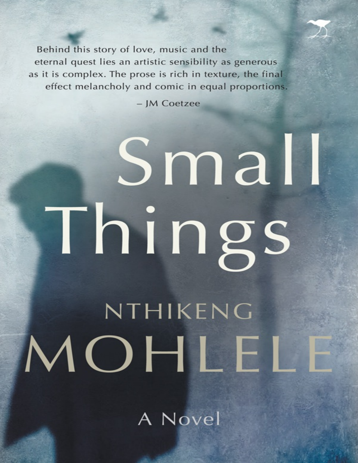Behind this story of love, music and the eternal quest lies an artistic sensibility as generous as it is complex. The prose is rich in texture, the final effect melancholy and comic in equal proportions.

- JM Coetzee

# Small Things NTHIKENG MOHLEL

A Novel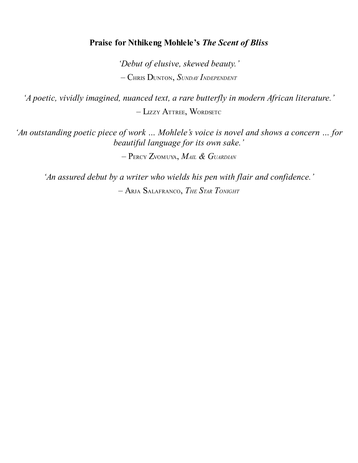#### **Praise for Nthikeng Mohlele's** *The Scent of Bliss*

*'Debut of elusive, skewed beauty.'* – CHRIS DUNTON, *SUNDAY INDEPENDENT*

*'A poetic, vividly imagined, nuanced text, a rare butterfly in modern African literature.'* – LIZZY ATTREE, WORDSETC

*'An outstanding poetic piece of work … Mohlele's voice is novel and shows a concern … for beautiful language for its own sake.'*

– PERCY ZVOMUYA, *MAIL & GUARDIAN*

*'An assured debut by a writer who wields his pen with flair and confidence.'* – ARJA SALAFRANCO, *THE STAR TONIGHT*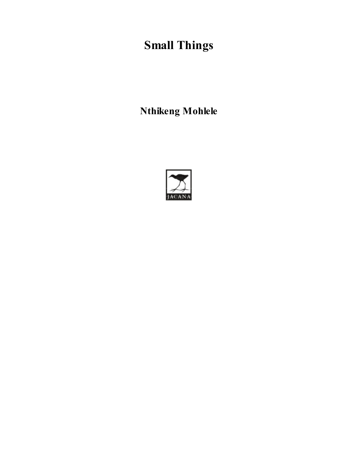# **Small Things**

**Nthikeng Mohlele**

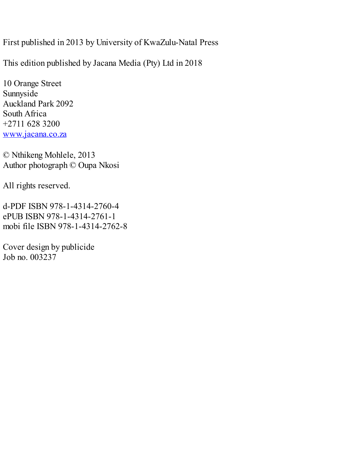First published in 2013 by University of KwaZulu-Natal Press

This edition published by Jacana Media (Pty) Ltd in 2018

10 Orange Street Sunnyside Auckland Park 2092 South Africa +2711 628 3200 [www.jacana.co.za](http://www.jacana.co.za)

© Nthikeng Mohlele, 2013 Author photograph © Oupa Nkosi

All rights reserved.

d-PDF ISBN 978-1-4314-2760-4 ePUB ISBN 978-1-4314-2761-1 mobi file ISBN 978-1-4314-2762-8

Cover design by publicide Job no. 003237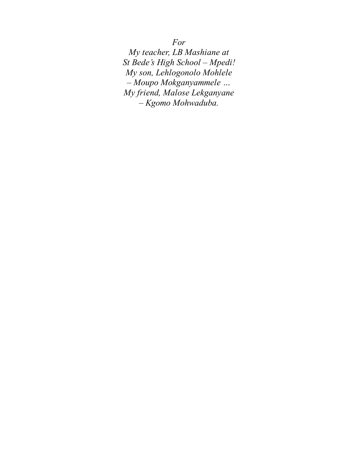*For*

*My teacher, LB Mashiane at St Bede's High School – Mpedi! My son, Lehlogonolo Mohlele – Moupo Mokganyammele … My friend, Malose Lekganyane – Kgomo Mohwaduba.*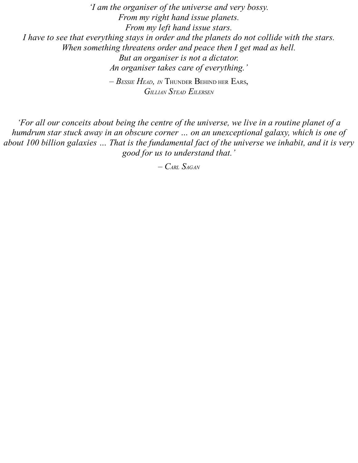*'I am the organiser of the universe and very bossy. From my right hand issue planets. From my left hand issue stars. I have to see that everything stays in order and the planets do not collide with the stars. When something threatens order and peace then I get mad as hell. But an organiser is not a dictator. An organiser takes care of everything.' – BESSIE HEAD, IN* THUNDER BEHIND HER EARS, *GILLIAN STEAD EILERSEN*

'For all our conceits about being the centre of the universe, we live in a routine planet of a *humdrum star stuck away in an obscure corner … on an unexceptional galaxy, which is one of* about 100 billion galaxies ... That is the fundamental fact of the universe we inhabit, and it is very *good for us to understand that.'*

*– CARL SAGAN*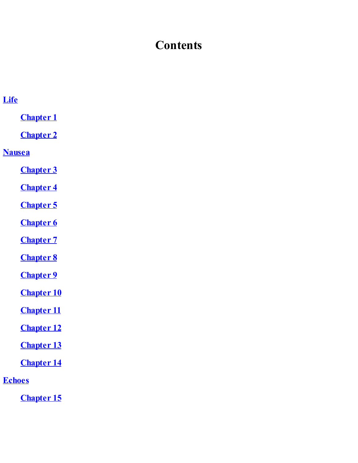## **Contents**

| <b>Life</b>       |
|-------------------|
| <b>Chapter 1</b>  |
| <b>Chapter 2</b>  |
| <b>Nausea</b>     |
| <b>Chapter 3</b>  |
| <b>Chapter 4</b>  |
| <b>Chapter 5</b>  |
| <b>Chapter 6</b>  |
| <b>Chapter 7</b>  |
| <b>Chapter 8</b>  |
| <b>Chapter 9</b>  |
| <b>Chapter 10</b> |
| <b>Chapter 11</b> |
| <b>Chapter 12</b> |
| <b>Chapter 13</b> |
| <b>Chapter 14</b> |
| <b>Echoes</b>     |

**[Chapter](#page-76-0) 15**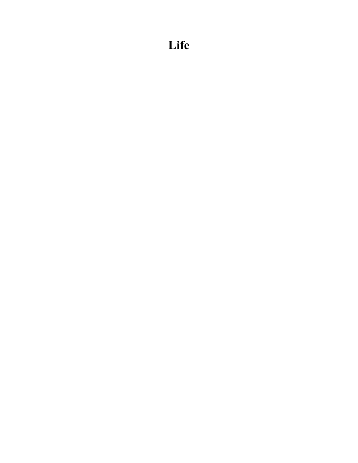## <span id="page-7-0"></span>**Life**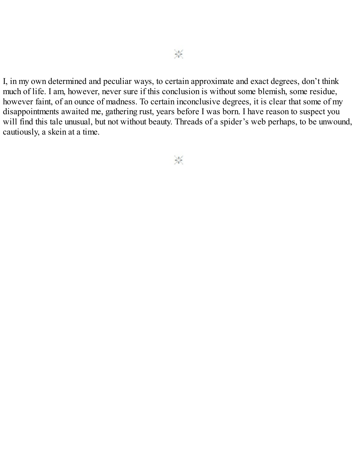I, in my own determined and peculiar ways, to certain approximate and exact degrees, don't think much of life. I am, however, never sure if this conclusion is without some blemish, some residue, however faint, of an ounce of madness. To certain inconclusive degrees, it is clear that some of my disappointments awaited me, gathering rust, years before I was born. I have reason to suspect you will find this tale unusual, but not without beauty. Threads of a spider's web perhaps, to be unwound, cautiously, a skein at a time.

 $\frac{1}{2}$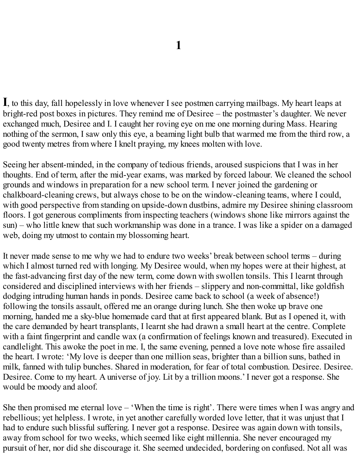<span id="page-9-0"></span>**I**, to this day, fall hopelessly in love whenever I see postmen carrying mailbags. My heart leaps at bright-red post boxes in pictures. They remind me of Desiree – the postmaster's daughter. We never exchanged much, Desiree and I. I caught her roving eye on me one morning during Mass. Hearing nothing of the sermon, I saw only this eye, a beaming light bulb that warmed me from the third row, a good twenty metres from where I knelt praying, my knees molten with love.

Seeing her absent-minded, in the company of tedious friends, aroused suspicions that I was in her thoughts. End of term, after the mid-year exams, was marked by forced labour. We cleaned the school grounds and windows in preparation for a new school term. I never joined the gardening or chalkboard-cleaning crews, but always chose to be on the window-cleaning teams, where I could, with good perspective from standing on upside-down dustbins, admire my Desiree shining classroom floors. I got generous compliments from inspecting teachers (windows shone like mirrors against the sun) – who little knew that such workmanship was done in a trance. I was like a spider on a damaged web, doing my utmost to contain my blossoming heart.

It never made sense to me why we had to endure two weeks' break between school terms – during which I almost turned red with longing. My Desiree would, when my hopes were at their highest, at the fast-advancing first day of the new term, come down with swollen tonsils. This I learnt through considered and disciplined interviews with her friends – slippery and non-committal, like goldfish dodging intruding human hands in ponds. Desiree came back to school (a week of absence!) following the tonsils assault, offered me an orange during lunch. She then woke up brave one morning, handed me a sky-blue homemade card that at first appeared blank. But as I opened it, with the care demanded by heart transplants, I learnt she had drawn a small heart at the centre. Complete with a faint fingerprint and candle wax (a confirmation of feelings known and treasured). Executed in candlelight. This awoke the poet in me. I, the same evening, penned a love note whose fire assailed the heart. I wrote: 'My love is deeper than one million seas, brighter than a billion suns, bathed in milk, fanned with tulip bunches. Shared in moderation, for fear of total combustion. Desiree. Desiree. Desiree. Come to my heart. A universe of joy. Lit by a trillion moons.' I never got a response. She would be moody and aloof.

She then promised me eternal love – 'When the time is right'. There were times when I was angry and rebellious; yet helpless. I wrote, in yet another carefully worded love letter, that it was unjust that I had to endure such blissful suffering. I never got a response. Desiree was again down with tonsils, away from school for two weeks, which seemed like eight millennia. She never encouraged my pursuit of her, nor did she discourage it. She seemed undecided, bordering on confused. Not all was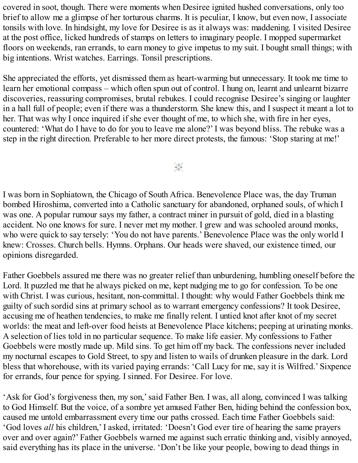covered in soot, though. There were moments when Desiree ignited hushed conversations, only too brief to allow me a glimpse of her torturous charms. It is peculiar, I know, but even now, I associate tonsils with love. In hindsight, my love for Desiree is as it always was: maddening. I visited Desiree at the post office, licked hundreds of stamps on letters to imaginary people. I mopped supermarket floors on weekends, ran errands, to earn money to give impetus to my suit. I bought small things; with big intentions. Wrist watches. Earrings. Tonsil prescriptions.

She appreciated the efforts, yet dismissed them as heart-warming but unnecessary. It took me time to learn her emotional compass – which often spun out of control. I hung on, learnt and unlearnt bizarre discoveries, reassuring compromises, brutal rebukes. I could recognise Desiree's singing or laughter in a hall full of people; even if there was a thunderstorm. She knew this, and I suspect it meant a lot to her. That was why I once inquired if she ever thought of me, to which she, with fire in her eyes, countered: 'What do I have to do for you to leave me alone?' I was beyond bliss. The rebuke was a step in the right direction. Preferable to her more direct protests, the famous: 'Stop staring at me!'

 $\frac{1}{2}$ 

I was born in Sophiatown, the Chicago of South Africa. Benevolence Place was, the day Truman bombed Hiroshima, converted into a Catholic sanctuary for abandoned, orphaned souls, of which I was one. A popular rumour says my father, a contract miner in pursuit of gold, died in a blasting accident. No one knows for sure. I never met my mother. I grew and was schooled around monks, who were quick to say tersely: 'You do not have parents.' Benevolence Place was the only world I knew: Crosses. Church bells. Hymns. Orphans. Our heads were shaved, our existence timed, our opinions disregarded.

Father Goebbels assured me there was no greater relief than unburdening, humbling oneself before the Lord. It puzzled me that he always picked on me, kept nudging me to go for confession. To be one with Christ. I was curious, hesitant, non-committal. I thought: why would Father Goebbels think me guilty of such sordid sins at primary school as to warrant emergency confessions? It took Desiree, accusing me of heathen tendencies, to make me finally relent. I untied knot after knot of my secret worlds: the meat and left-over food heists at Benevolence Place kitchens; peeping at urinating monks. A selection of lies told in no particular sequence. To make life easier. My confessions to Father Goebbels were mostly made up. Mild sins. To get him off my back. The confessions never included my nocturnal escapes to Gold Street, to spy and listen to wails of drunken pleasure in the dark. Lord bless that whorehouse, with its varied paying errands: 'Call Lucy for me, say it is Wilfred.' Sixpence for errands, four pence for spying. I sinned. For Desiree. For love.

'Ask for God's forgiveness then, my son,'said Father Ben. I was, all along, convinced I was talking to God Himself. But the voice, of a sombre yet amused Father Ben, hiding behind the confession box, caused me untold embarrassment every time our paths crossed. Each time Father Goebbels said: 'God loves *all* his children,' I asked, irritated: 'Doesn't God ever tire of hearing the same prayers over and over again?' Father Goebbels warned me against such erratic thinking and, visibly annoyed, said everything has its place in the universe. 'Don't be like your people, bowing to dead things in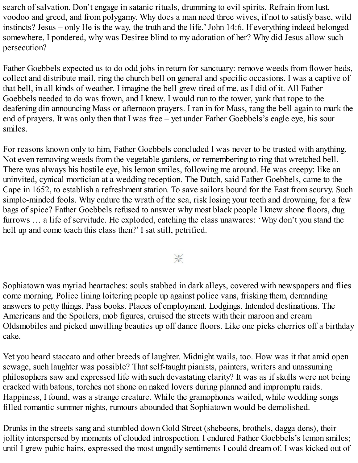search of salvation. Don't engage in satanic rituals, drumming to evil spirits. Refrain from lust, voodoo and greed, and from polygamy. Why does a man need three wives, if not to satisfy base, wild instincts? Jesus – only He is the way, the truth and the life.'John 14:6. If everything indeed belonged somewhere, I pondered, why was Desiree blind to my adoration of her? Why did Jesus allow such persecution?

Father Goebbels expected us to do odd jobs in return for sanctuary: remove weeds from flower beds, collect and distribute mail, ring the church bell on general and specific occasions. I was a captive of that bell, in all kinds of weather. I imagine the bell grew tired of me, as I did of it. All Father Goebbels needed to do was frown, and I knew. I would run to the tower, yank that rope to the deafening din announcing Mass or afternoon prayers. I ran in for Mass, rang the bell again to mark the end of prayers. It was only then that I was free – yet under Father Goebbels's eagle eye, his sour smiles.

For reasons known only to him, Father Goebbels concluded I was never to be trusted with anything. Not even removing weeds from the vegetable gardens, or remembering to ring that wretched bell. There was always his hostile eye, his lemon smiles, following me around. He was creepy: like an uninvited, cynical mortician at a wedding reception. The Dutch, said Father Goebbels, came to the Cape in 1652, to establish a refreshment station. To save sailors bound for the East from scurvy. Such simple-minded fools. Why endure the wrath of the sea, risk losing your teeth and drowning, for a few bags of spice? Father Goebbels refused to answer why most black people I knew shone floors, dug furrows … a life of servitude. He exploded, catching the class unawares: 'Why don't you stand the hell up and come teach this class then?' I sat still, petrified.

 $\frac{1}{2}$ 

Sophiatown was myriad heartaches: souls stabbed in dark alleys, covered with newspapers and flies come morning. Police lining loitering people up against police vans, frisking them, demanding answers to petty things. Pass books. Places of employment. Lodgings. Intended destinations. The Americans and the Spoilers, mob figures, cruised the streets with their maroon and cream Oldsmobiles and picked unwilling beauties up off dance floors. Like one picks cherries off a birthday cake.

Yet you heard staccato and other breeds of laughter. Midnight wails, too. How was it that amid open sewage, such laughter was possible? That self-taught pianists, painters, writers and unassuming philosophers saw and expressed life with such devastating clarity? It was as if skulls were not being cracked with batons, torches not shone on naked lovers during planned and impromptu raids. Happiness, I found, was a strange creature. While the gramophones wailed, while wedding songs filled romantic summer nights, rumours abounded that Sophiatown would be demolished.

Drunks in the streets sang and stumbled down Gold Street (shebeens, brothels, dagga dens), their jollity interspersed by moments of clouded introspection. I endured Father Goebbels's lemon smiles; until I grew pubic hairs, expressed the most ungodly sentiments I could dream of. I was kicked out of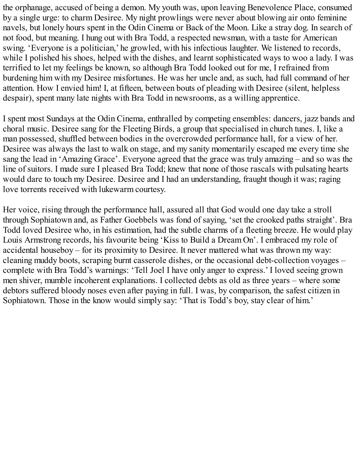the orphanage, accused of being a demon. My youth was, upon leaving Benevolence Place, consumed by a single urge: to charm Desiree. My night prowlings were never about blowing air onto feminine navels, but lonely hours spent in the Odin Cinema or Back of the Moon. Like a stray dog. In search of not food, but meaning. I hung out with Bra Todd, a respected newsman, with a taste for American swing. 'Everyone is a politician,' he growled, with his infectious laughter. We listened to records, while I polished his shoes, helped with the dishes, and learnt sophisticated ways to woo a lady. I was terrified to let my feelings be known, so although Bra Todd looked out for me, I refrained from burdening him with my Desiree misfortunes. He was her uncle and, as such, had full command of her attention. How I envied him! I, at fifteen, between bouts of pleading with Desiree (silent, helpless despair), spent many late nights with Bra Todd in newsrooms, as a willing apprentice.

I spent most Sundays at the Odin Cinema, enthralled by competing ensembles: dancers, jazz bands and choral music. Desiree sang for the Fleeting Birds, a group that specialised in church tunes. I, like a man possessed, shuffled between bodies in the overcrowded performance hall, for a view of her. Desiree was always the last to walk on stage, and my sanity momentarily escaped me every time she sang the lead in 'Amazing Grace'. Everyone agreed that the grace was truly amazing – and so was the line of suitors. I made sure I pleased Bra Todd; knew that none of those rascals with pulsating hearts would dare to touch my Desiree. Desiree and I had an understanding, fraught though it was; raging love torrents received with lukewarm courtesy.

Her voice, rising through the performance hall, assured all that God would one day take a stroll through Sophiatown and, as Father Goebbels was fond of saying, 'set the crooked paths straight'. Bra Todd loved Desiree who, in his estimation, had the subtle charms of a fleeting breeze. He would play Louis Armstrong records, his favourite being 'Kiss to Build a Dream On'. I embraced my role of accidental houseboy – for its proximity to Desiree. It never mattered what was thrown my way: cleaning muddy boots, scraping burnt casserole dishes, or the occasional debt-collection voyages – complete with Bra Todd's warnings: 'Tell Joel I have only anger to express.' I loved seeing grown men shiver, mumble incoherent explanations. I collected debts as old as three years – where some debtors suffered bloody noses even after paying in full. I was, by comparison, the safest citizen in Sophiatown. Those in the know would simply say: 'That is Todd's boy, stay clear of him.'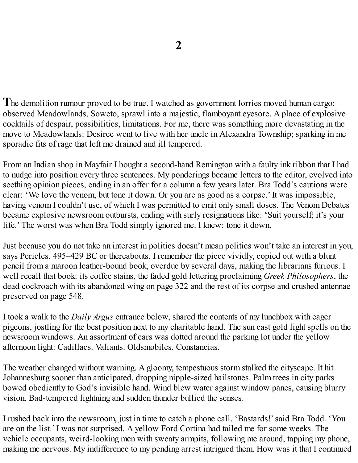<span id="page-13-0"></span>**T**he demolition rumour proved to be true. I watched as government lorries moved human cargo; observed Meadowlands, Soweto, sprawl into a majestic, flamboyant eyesore. A place of explosive cocktails of despair, possibilities, limitations. For me, there was something more devastating in the move to Meadowlands: Desiree went to live with her uncle in Alexandra Township; sparking in me sporadic fits of rage that left me drained and ill tempered.

From an Indian shop in Mayfair I bought a second-hand Remington with a faulty ink ribbon that I had to nudge into position every three sentences. My ponderings became letters to the editor, evolved into seething opinion pieces, ending in an offer for a column a few years later. Bra Todd's cautions were clear: 'We love the venom, but tone it down. Or you are as good as a corpse.' It was impossible, having venom I couldn't use, of which I was permitted to emit only small doses. The Venom Debates became explosive newsroom outbursts, ending with surly resignations like: 'Suit yourself; it's your life.' The worst was when Bra Todd simply ignored me. I knew: tone it down.

Just because you do not take an interest in politics doesn't mean politics won't take an interest in you, says Pericles. 495–429 BC or thereabouts. I remember the piece vividly, copied out with a blunt pencil from a maroon leather-bound book, overdue by several days, making the librarians furious. I well recall that book: its coffee stains, the faded gold lettering proclaiming *Greek Philosophers*, the dead cockroach with its abandoned wing on page 322 and the rest of its corpse and crushed antennae preserved on page 548.

I took a walk to the *Daily Argus* entrance below, shared the contents of my lunchbox with eager pigeons, jostling for the best position next to my charitable hand. The sun cast gold light spells on the newsroom windows. An assortment of cars was dotted around the parking lot under the yellow afternoon light: Cadillacs. Valiants. Oldsmobiles. Constancias.

The weather changed without warning. A gloomy, tempestuous storm stalked the cityscape. It hit Johannesburg sooner than anticipated, dropping nipple-sized hailstones. Palm trees in city parks bowed obediently to God's invisible hand. Wind blew water against window panes, causing blurry vision. Bad-tempered lightning and sudden thunder bullied the senses.

I rushed back into the newsroom, just in time to catch a phone call. 'Bastards!'said Bra Todd. 'You are on the list.' I was not surprised. A yellow Ford Cortina had tailed me for some weeks. The vehicle occupants, weird-looking men with sweaty armpits, following me around, tapping my phone, making me nervous. My indifference to my pending arrest intrigued them. How was it that I continued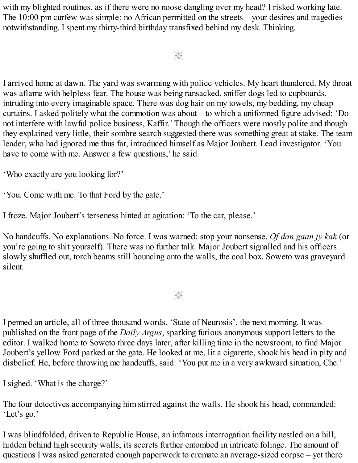with my blighted routines, as if there were no noose dangling over my head? I risked working late. The 10:00 pm curfew was simple: no African permitted on the streets – your desires and tragedies notwithstanding. I spent my thirty-third birthday transfixed behind my desk. Thinking.

#### $\frac{1}{2}$

I arrived home at dawn. The yard was swarming with police vehicles. My heart thundered. My throat was aflame with helpless fear. The house was being ransacked, sniffer dogs led to cupboards, intruding into every imaginable space. There was dog hair on my towels, my bedding, my cheap curtains. I asked politely what the commotion was about – to which a uniformed figure advised: 'Do not interfere with lawful police business, Kaffir.' Though the officers were mostly polite and though they explained very little, their sombre search suggested there was something great at stake. The team leader, who had ignored me thus far, introduced himself as Major Joubert. Lead investigator. 'You have to come with me. Answer a few questions,' he said.

'Who exactly are you looking for?'

'You. Come with me. To that Ford by the gate.'

I froze. Major Joubert's terseness hinted at agitation: 'To the car, please.'

No handcuffs. No explanations. No force. I was warned: stop your nonsense. *Of dan gaan jy kak* (or you're going to shit yourself). There was no further talk. Major Joubert signalled and his officers slowly shuffled out, torch beams still bouncing onto the walls, the coal box. Soweto was graveyard silent.

#### $\frac{1}{2} \frac{1}{k^2}$

I penned an article, all of three thousand words, 'State of Neurosis', the next morning. It was published on the front page of the *Daily Argus*, sparking furious anonymous support letters to the editor. I walked home to Soweto three days later, after killing time in the newsroom, to find Major Joubert's yellow Ford parked at the gate. He looked at me, lit a cigarette, shook his head in pity and disbelief. He, before throwing me handcuffs, said: 'You put me in a very awkward situation, Che.'

I sighed. 'What is the charge?'

The four detectives accompanying him stirred against the walls. He shook his head, commanded: 'Let's go.'

I was blindfolded, driven to Republic House, an infamous interrogation facility nestled on a hill, hidden behind high security walls, its secrets further entombed in intricate foliage. The amount of questions I was asked generated enough paperwork to cremate an average-sized corpse – yet there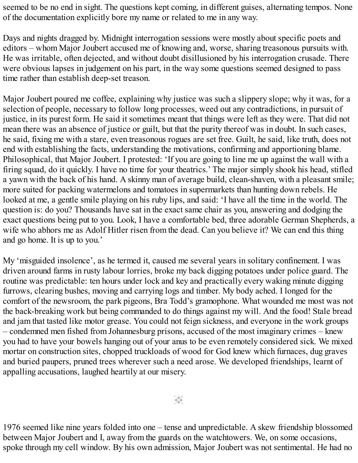seemed to be no end in sight. The questions kept coming, in different guises, alternating tempos. None of the documentation explicitly bore my name or related to me in any way.

Days and nights dragged by. Midnight interrogation sessions were mostly about specific poets and editors – whom Major Joubert accused me of knowing and, worse, sharing treasonous pursuits with. He was irritable, often dejected, and without doubt disillusioned by his interrogation crusade. There were obvious lapses in judgement on his part, in the way some questions seemed designed to pass time rather than establish deep-set treason.

Major Joubert poured me coffee, explaining why justice was such a slippery slope; why it was, for a selection of people, necessary to follow long processes, weed out any contradictions, in pursuit of justice, in its purest form. He said it sometimes meant that things were left as they were. That did not mean there was an absence of justice or guilt, but that the purity thereof was in doubt. In such cases, he said, fixing me with a stare, even treasonous rogues are set free. Guilt, he said, like truth, does not end with establishing the facts, understanding the motivations, confirming and apportioning blame. Philosophical, that Major Joubert. I protested: 'If you are going to line me up against the wall with a firing squad, do it quickly. I have no time for your theatrics.' The major simply shook his head, stifled a yawn with the back of his hand. A skinny man of average build, clean-shaven, with a pleasant smile; more suited for packing watermelons and tomatoes in supermarkets than hunting down rebels. He looked at me, a gentle smile playing on his ruby lips, and said: 'I have all the time in the world. The question is: do you? Thousands have sat in the exact same chair as you, answering and dodging the exact questions being put to you. Look, I have a comfortable bed, three adorable German Shepherds, a wife who abhors me as Adolf Hitler risen from the dead. Can you believe it? We can end this thing and go home. It is up to you.'

My 'misguided insolence', as he termed it, caused me several years in solitary confinement. I was driven around farms in rusty labour lorries, broke my back digging potatoes under police guard. The routine was predictable: ten hours under lock and key and practically every waking minute digging furrows, clearing bushes, moving and carrying logs and timber. My body ached. I longed for the comfort of the newsroom, the park pigeons, Bra Todd's gramophone. What wounded me most was not the back-breaking work but being commanded to do things against my will. And the food! Stale bread and jam that tasted like motor grease. You could not feign sickness, and everyone in the work groups – condemned men fished from Johannesburg prisons, accused of the most imaginary crimes – knew you had to have your bowels hanging out of your anus to be even remotely considered sick. We mixed mortar on construction sites, chopped truckloads of wood for God knew which furnaces, dug graves and buried paupers, pruned trees wherever such a need arose. We developed friendships, learnt of appalling accusations, laughed heartily at our misery.

 $\frac{1}{2}$ 

1976 seemed like nine years folded into one – tense and unpredictable. A skew friendship blossomed between Major Joubert and I, away from the guards on the watchtowers. We, on some occasions, spoke through my cell window. By his own admission, Major Joubert was not sentimental. He had no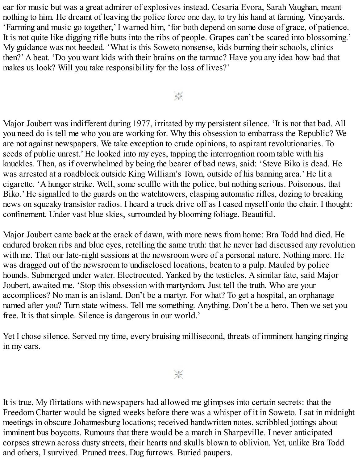ear for music but was a great admirer of explosives instead. Cesaria Evora, Sarah Vaughan, meant nothing to him. He dreamt of leaving the police force one day, to try his hand at farming. Vineyards. 'Farming and music go together,' I warned him, 'for both depend on some dose of grace, of patience. It is not quite like digging rifle butts into the ribs of people. Grapes can't be scared into blossoming.' My guidance was not heeded. 'What is this Soweto nonsense, kids burning their schools, clinics then?' A beat. 'Do you want kids with their brains on the tarmac? Have you any idea how bad that makes us look? Will you take responsibility for the loss of lives?'

 $\frac{1}{2}$ 

Major Joubert was indifferent during 1977, irritated by my persistent silence. 'It is not that bad. All you need do is tell me who you are working for. Why this obsession to embarrass the Republic? We are not against newspapers. We take exception to crude opinions, to aspirant revolutionaries. To seeds of public unrest.' He looked into my eyes, tapping the interrogation room table with his knuckles. Then, as if overwhelmed by being the bearer of bad news, said: 'Steve Biko is dead. He was arrested at a roadblock outside King William's Town, outside of his banning area.' He lit a cigarette. 'A hunger strike. Well, some scuffle with the police, but nothing serious. Poisonous, that Biko.' He signalled to the guards on the watchtowers, clasping automatic rifles, dozing to breaking news on squeaky transistor radios. I heard a truck drive off as I eased myself onto the chair. I thought: confinement. Under vast blue skies, surrounded by blooming foliage. Beautiful.

Major Joubert came back at the crack of dawn, with more news from home: Bra Todd had died. He endured broken ribs and blue eyes, retelling the same truth: that he never had discussed any revolution with me. That our late-night sessions at the newsroom were of a personal nature. Nothing more. He was dragged out of the newsroom to undisclosed locations, beaten to a pulp. Mauled by police hounds. Submerged under water. Electrocuted. Yanked by the testicles. A similar fate, said Major Joubert, awaited me. 'Stop this obsession with martyrdom. Just tell the truth. Who are your accomplices? No man is an island. Don't be a martyr. For what? To get a hospital, an orphanage named after you? Turn state witness. Tell me something. Anything. Don't be a hero. Then we set you free. It is that simple. Silence is dangerous in our world.'

Yet I chose silence. Served my time, every bruising millisecond, threats of imminent hanging ringing in my ears.

 $\frac{1}{2}$ 

It is true. My flirtations with newspapers had allowed me glimpses into certain secrets: that the Freedom Charter would be signed weeks before there was a whisper of it in Soweto. I sat in midnight meetings in obscure Johannesburg locations; received handwritten notes, scribbled jottings about imminent bus boycotts. Rumours that there would be a march in Sharpeville. I never anticipated corpses strewn across dusty streets, their hearts and skulls blown to oblivion. Yet, unlike Bra Todd and others, I survived. Pruned trees. Dug furrows. Buried paupers.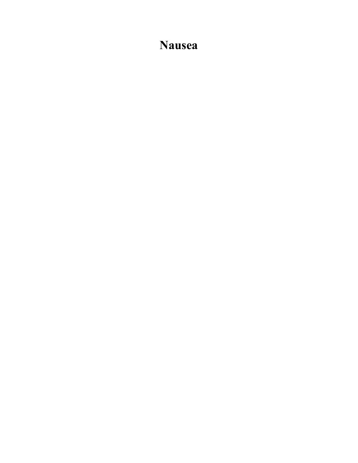### <span id="page-18-0"></span>**Nausea**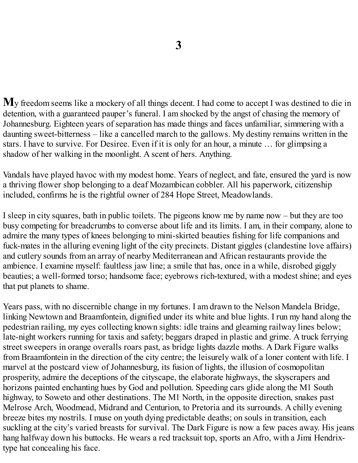<span id="page-19-0"></span>**M**y freedom seems like a mockery of all things decent. I had come to accept I was destined to die in detention, with a guaranteed pauper's funeral. I am shocked by the angst of chasing the memory of Johannesburg. Eighteen years of separation has made things and faces unfamiliar, simmering with a daunting sweet-bitterness – like a cancelled march to the gallows. My destiny remains written in the stars. I have to survive. For Desiree. Even if it is only for an hour, a minute … for glimpsing a shadow of her walking in the moonlight. A scent of hers. Anything.

Vandals have played havoc with my modest home. Years of neglect, and fate, ensured the yard is now a thriving flower shop belonging to a deaf Mozambican cobbler. All his paperwork, citizenship included, confirms he is the rightful owner of 284 Hope Street, Meadowlands.

I sleep in city squares, bath in public toilets. The pigeons know me by name now – but they are too busy competing for breadcrumbs to converse about life and its limits. I am, in their company, alone to admire the many types of knees belonging to mini-skirted beauties fishing for life companions and fuck-mates in the alluring evening light of the city precincts. Distant giggles (clandestine love affairs) and cutlery sounds from an array of nearby Mediterranean and African restaurants provide the ambience. I examine myself: faultless jaw line; a smile that has, once in a while, disrobed giggly beauties; a well-formed torso; handsome face; eyebrows rich-textured, with a modest shine; and eyes that put planets to shame.

Years pass, with no discernible change in my fortunes. I am drawn to the Nelson Mandela Bridge, linking Newtown and Braamfontein, dignified under its white and blue lights. I run my hand along the pedestrian railing, my eyes collecting known sights: idle trains and gleaming railway lines below; late-night workers running for taxis and safety; beggars draped in plastic and grime. A truck ferrying street sweepers in orange overalls roars past, as bridge lights dazzle moths. A Dark Figure walks from Braamfontein in the direction of the city centre; the leisurely walk of a loner content with life. I marvel at the postcard view of Johannesburg, its fusion of lights, the illusion of cosmopolitan prosperity, admire the deceptions of the cityscape, the elaborate highways, the skyscrapers and horizons painted enchanting hues by God and pollution. Speeding cars glide along the M1 South highway, to Soweto and other destinations. The M1 North, in the opposite direction, snakes past Melrose Arch, Woodmead, Midrand and Centurion, to Pretoria and its surrounds. A chilly evening breeze bites my nostrils. I muse on youth dying predictable deaths; on souls in transition, each suckling at the city's varied breasts for survival. The Dark Figure is now a few paces away. His jeans hang halfway down his buttocks. He wears a red tracksuit top, sports an Afro, with a Jimi Hendrixtype hat concealing his face.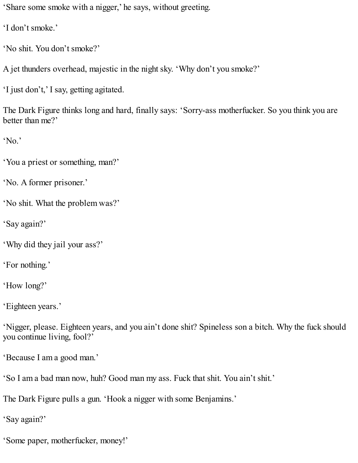'Share some smoke with a nigger,' he says, without greeting.

'I don't smoke.'

'No shit. You don't smoke?'

A jet thunders overhead, majestic in the night sky. 'Why don't you smoke?'

'I just don't,' I say, getting agitated.

The Dark Figure thinks long and hard, finally says: 'Sorry-ass motherfucker. So you think you are better than me?'

'No.'

'You a priest or something, man?'

'No. A former prisoner.'

'No shit. What the problem was?'

'Say again?'

'Why did they jail your ass?'

'For nothing.'

'How long?'

'Eighteen years.'

'Nigger, please. Eighteen years, and you ain't done shit? Spineless son a bitch. Why the fuck should you continue living, fool?'

'Because I am a good man.'

'So I am a bad man now, huh? Good man my ass. Fuck that shit. You ain't shit.'

The Dark Figure pulls a gun. 'Hook a nigger with some Benjamins.'

'Say again?'

'Some paper, motherfucker, money!'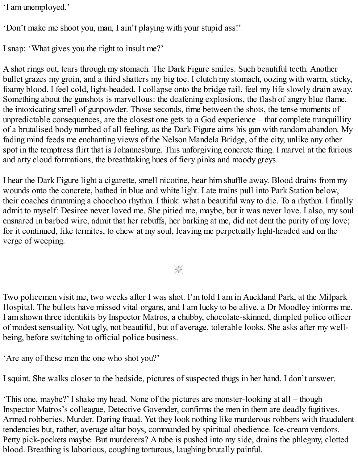'I am unemployed.'

'Don't make me shoot you, man, I ain't playing with your stupid ass!'

I snap: 'What gives you the right to insult me?'

A shot rings out, tears through my stomach. The Dark Figure smiles. Such beautiful teeth. Another bullet grazes my groin, and a third shatters my big toe. I clutch my stomach, oozing with warm, sticky, foamy blood. I feel cold, light-headed. I collapse onto the bridge rail, feel my life slowly drain away. Something about the gunshots is marvellous: the deafening explosions, the flash of angry blue flame, the intoxicating smell of gunpowder. Those seconds, time between the shots, the tense moments of unpredictable consequences, are the closest one gets to a God experience – that complete tranquillity of a brutalised body numbed of all feeling, as the Dark Figure aims his gun with random abandon. My fading mind feeds me enchanting views of the Nelson Mandela Bridge, of the city, unlike any other spot in the temptress flirt that is Johannesburg. This unforgiving concrete thing. I marvel at the furious and arty cloud formations, the breathtaking hues of fiery pinks and moody greys.

I hear the Dark Figure light a cigarette, smell nicotine, hear him shuffle away. Blood drains from my wounds onto the concrete, bathed in blue and white light. Late trains pull into Park Station below, their coaches drumming a choochoo rhythm. I think: what a beautiful way to die. To a rhythm. I finally admit to myself: Desiree never loved me. She pitied me, maybe, but it was never love. I also, my soul ensnared in barbed wire, admit that her rebuffs, her barking at me, did not dent the purity of my love; for it continued, like termites, to chew at my soul, leaving me perpetually light-headed and on the verge of weeping.

 $\frac{1}{2}$ 

Two policemen visit me, two weeks after I was shot. I'm told I am in Auckland Park, at the Milpark Hospital. The bullets have missed vital organs, and I am lucky to be alive, a Dr Moodley informs me. I am shown three identikits by Inspector Matros, a chubby, chocolate-skinned, dimpled police officer of modest sensuality. Not ugly, not beautiful, but of average, tolerable looks. She asks after my wellbeing, before switching to official police business.

'Are any of these men the one who shot you?'

I squint. She walks closer to the bedside, pictures of suspected thugs in her hand. I don't answer.

'This one, maybe?' I shake my head. None of the pictures are monster-looking at all – though Inspector Matros's colleague, Detective Govender, confirms the men in them are deadly fugitives. Armed robberies. Murder. Daring fraud. Yet they look nothing like murderous robbers with fraudulent tendencies but, rather, average altar boys, commanded by spiritual obedience. Ice-cream vendors. Petty pick-pockets maybe. But murderers? A tube is pushed into my side, drains the phlegmy, clotted blood. Breathing is laborious, coughing torturous, laughing brutally painful.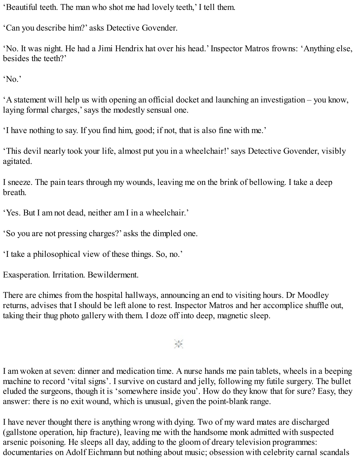'Beautiful teeth. The man who shot me had lovely teeth,' I tell them.

'Can you describe him?' asks Detective Govender.

'No. It was night. He had a Jimi Hendrix hat over his head.' Inspector Matros frowns: 'Anything else, besides the teeth?'

'No.'

'A statement will help us with opening an official docket and launching an investigation – you know, laying formal charges,' says the modestly sensual one.

'I have nothing to say. If you find him, good; if not, that is also fine with me.'

'This devil nearly took your life, almost put you in a wheelchair!'says Detective Govender, visibly agitated.

I sneeze. The pain tears through my wounds, leaving me on the brink of bellowing. I take a deep breath.

'Yes. But I am not dead, neither am I in a wheelchair.'

'So you are not pressing charges?' asks the dimpled one.

'I take a philosophical view of these things. So, no.'

Exasperation. Irritation. Bewilderment.

There are chimes from the hospital hallways, announcing an end to visiting hours. Dr Moodley returns, advises that I should be left alone to rest. Inspector Matros and her accomplice shuffle out, taking their thug photo gallery with them. I doze off into deep, magnetic sleep.

崇

I am woken at seven: dinner and medication time. A nurse hands me pain tablets, wheels in a beeping machine to record 'vital signs'. I survive on custard and jelly, following my futile surgery. The bullet eluded the surgeons, though it is 'somewhere inside you'. How do they know that for sure? Easy, they answer: there is no exit wound, which is unusual, given the point-blank range.

I have never thought there is anything wrong with dying. Two of my ward mates are discharged (gallstone operation, hip fracture), leaving me with the handsome monk admitted with suspected arsenic poisoning. He sleeps all day, adding to the gloom of dreary television programmes: documentaries on Adolf Eichmann but nothing about music; obsession with celebrity carnal scandals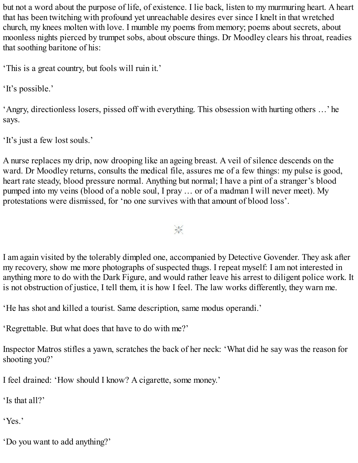but not a word about the purpose of life, of existence. I lie back, listen to my murmuring heart. A heart that has been twitching with profound yet unreachable desires ever since I knelt in that wretched church, my knees molten with love. I mumble my poems from memory; poems about secrets, about moonless nights pierced by trumpet sobs, about obscure things. Dr Moodley clears his throat, readies that soothing baritone of his:

'This is a great country, but fools will ruin it.'

'It's possible.'

'Angry, directionless losers, pissed off with everything. This obsession with hurting others …' he says.

'It's just a few lost souls.'

A nurse replaces my drip, now drooping like an ageing breast. A veil of silence descends on the ward. Dr Moodley returns, consults the medical file, assures me of a few things: my pulse is good, heart rate steady, blood pressure normal. Anything but normal; I have a pint of a stranger's blood pumped into my veins (blood of a noble soul, I pray … or of a madman I will never meet). My protestations were dismissed, for 'no one survives with that amount of blood loss'.

 $\frac{1}{2}$ 

I am again visited by the tolerably dimpled one, accompanied by Detective Govender. They ask after my recovery, show me more photographs of suspected thugs. I repeat myself: I am not interested in anything more to do with the Dark Figure, and would rather leave his arrest to diligent police work. It is not obstruction of justice, I tell them, it is how I feel. The law works differently, they warn me.

'He has shot and killed a tourist. Same description, same modus operandi.'

'Regrettable. But what does that have to do with me?'

Inspector Matros stifles a yawn, scratches the back of her neck: 'What did he say was the reason for shooting you?'

I feel drained: 'How should I know? A cigarette, some money.'

'Is that all?'

'Yes.'

'Do you want to add anything?'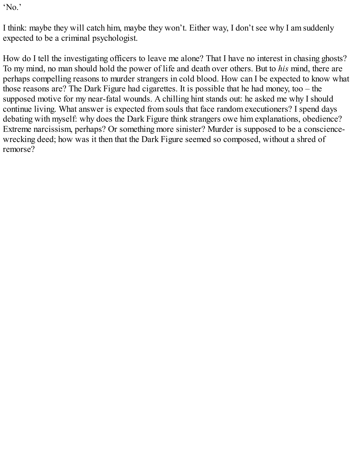'No.'

I think: maybe they will catch him, maybe they won't. Either way, I don't see why I am suddenly expected to be a criminal psychologist.

How do I tell the investigating officers to leave me alone? That I have no interest in chasing ghosts? To my mind, no man should hold the power of life and death over others. But to *his* mind, there are perhaps compelling reasons to murder strangers in cold blood. How can I be expected to know what those reasons are? The Dark Figure had cigarettes. It is possible that he had money, too – the supposed motive for my near-fatal wounds. A chilling hint stands out: he asked me why I should continue living. What answer is expected from souls that face random executioners? I spend days debating with myself: why does the Dark Figure think strangers owe him explanations, obedience? Extreme narcissism, perhaps? Or something more sinister? Murder is supposed to be a consciencewrecking deed; how was it then that the Dark Figure seemed so composed, without a shred of remorse?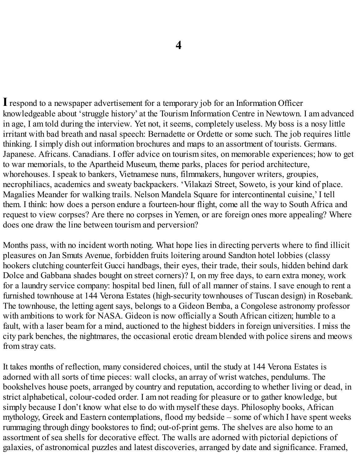<span id="page-25-0"></span>**I**respond to a newspaper advertisement for a temporary job for an Information Officer knowledgeable about 'struggle history' at the Tourism Information Centre in Newtown. I am advanced in age, I am told during the interview. Yet not, it seems, completely useless. My boss is a nosy little irritant with bad breath and nasal speech: Bernadette or Ordette or some such. The job requires little thinking. I simply dish out information brochures and maps to an assortment of tourists. Germans. Japanese. Africans. Canadians. I offer advice on tourism sites, on memorable experiences; how to get to war memorials, to the Apartheid Museum, theme parks, places for period architecture, whorehouses. I speak to bankers, Vietnamese nuns, filmmakers, hungover writers, groupies, necrophiliacs, academics and sweaty backpackers. 'Vilakazi Street, Soweto, is your kind of place. Magalies Meander for walking trails. Nelson Mandela Square for intercontinental cuisine,' I tell them. I think: how does a person endure a fourteen-hour flight, come all the way to South Africa and request to view corpses? Are there no corpses in Yemen, or are foreign ones more appealing? Where does one draw the line between tourism and perversion?

Months pass, with no incident worth noting. What hope lies in directing perverts where to find illicit pleasures on Jan Smuts Avenue, forbidden fruits loitering around Sandton hotel lobbies (classy hookers clutching counterfeit Gucci handbags, their eyes, their trade, their souls, hidden behind dark Dolce and Gabbana shades bought on street corners)? I, on my free days, to earn extra money, work for a laundry service company: hospital bed linen, full of all manner of stains. I save enough to rent a furnished townhouse at 144 Verona Estates (high-security townhouses of Tuscan design) in Rosebank. The townhouse, the letting agent says, belongs to a Gideon Bemba, a Congolese astronomy professor with ambitions to work for NASA. Gideon is now officially a South African citizen; humble to a fault, with a laser beam for a mind, auctioned to the highest bidders in foreign universities. I miss the city park benches, the nightmares, the occasional erotic dream blended with police sirens and meows from stray cats.

It takes months of reflection, many considered choices, until the study at 144 Verona Estates is adorned with all sorts of time pieces: wall clocks, an array of wrist watches, pendulums. The bookshelves house poets, arranged by country and reputation, according to whether living or dead, in strict alphabetical, colour-coded order. I am not reading for pleasure or to gather knowledge, but simply because I don't know what else to do with myself these days. Philosophy books, African mythology, Greek and Eastern contemplations, flood my bedside – some of which I have spent weeks rummaging through dingy bookstores to find; out-of-print gems. The shelves are also home to an assortment of sea shells for decorative effect. The walls are adorned with pictorial depictions of galaxies, of astronomical puzzles and latest discoveries, arranged by date and significance. Framed,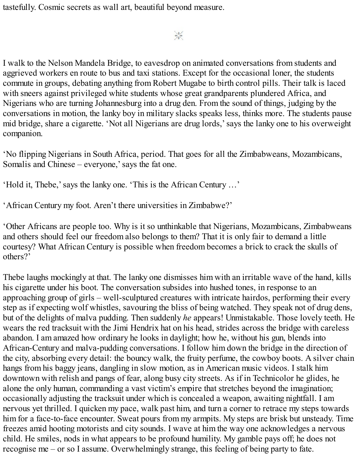tastefully. Cosmic secrets as wall art, beautiful beyond measure.

 $\frac{1}{2}$ 

I walk to the Nelson Mandela Bridge, to eavesdrop on animated conversations from students and aggrieved workers en route to bus and taxi stations. Except for the occasional loner, the students commute in groups, debating anything from Robert Mugabe to birth control pills. Their talk is laced with sneers against privileged white students whose great grandparents plundered Africa, and Nigerians who are turning Johannesburg into a drug den. From the sound of things, judging by the conversations in motion, the lanky boy in military slacks speaks less, thinks more. The students pause mid bridge, share a cigarette. 'Not all Nigerians are drug lords,'says the lanky one to his overweight companion.

'No flipping Nigerians in South Africa, period. That goes for all the Zimbabweans, Mozambicans, Somalis and Chinese – everyone,' says the fat one.

'Hold it, Thebe,'says the lanky one. 'This is the African Century …'

'African Century my foot. Aren't there universities in Zimbabwe?'

'Other Africans are people too. Why is it so unthinkable that Nigerians, Mozambicans, Zimbabweans and others should feel our freedom also belongs to them? That it is only fair to demand a little courtesy? What African Century is possible when freedom becomes a brick to crack the skulls of others?'

Thebe laughs mockingly at that. The lanky one dismisses him with an irritable wave of the hand, kills his cigarette under his boot. The conversation subsides into hushed tones, in response to an approaching group of girls – well-sculptured creatures with intricate hairdos, performing their every step as if expecting wolf whistles, savouring the bliss of being watched. They speak not of drug dens, but of the delights of malva pudding. Then suddenly *he* appears! Unmistakable. Those lovely teeth. He wears the red tracksuit with the Jimi Hendrix hat on his head, strides across the bridge with careless abandon. I am amazed how ordinary he looks in daylight; how he, without his gun, blends into African-Century and malva-pudding conversations. I follow him down the bridge in the direction of the city, absorbing every detail: the bouncy walk, the fruity perfume, the cowboy boots. A silver chain hangs from his baggy jeans, dangling in slow motion, as in American music videos. I stalk him downtown with relish and pangs of fear, along busy city streets. As if in Technicolor he glides, he alone the only human, commanding a vast victim's empire that stretches beyond the imagination; occasionally adjusting the tracksuit under which is concealed a weapon, awaiting nightfall. I am nervous yet thrilled. I quicken my pace, walk past him, and turn a corner to retrace my steps towards him for a face-to-face encounter. Sweat pours from my armpits. My steps are brisk but unsteady. Time freezes amid hooting motorists and city sounds. I wave at him the way one acknowledges a nervous child. He smiles, nods in what appears to be profound humility. My gamble pays off; he does not recognise me – or so I assume. Overwhelmingly strange, this feeling of being party to fate.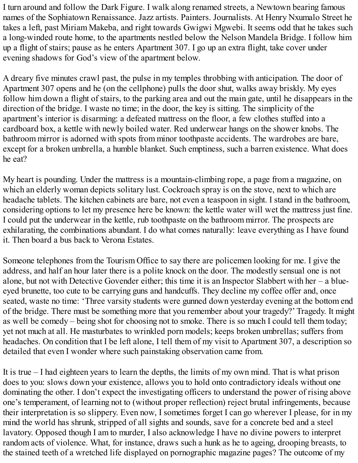I turn around and follow the Dark Figure. I walk along renamed streets, a Newtown bearing famous names of the Sophiatown Renaissance. Jazz artists. Painters. Journalists. At Henry Nxumalo Street he takes a left, past Miriam Makeba, and right towards Gwigwi Mgwebi. It seems odd that he takes such a long-winded route home, to the apartments nestled below the Nelson Mandela Bridge. I follow him up a flight of stairs; pause as he enters Apartment 307. I go up an extra flight, take cover under evening shadows for God's view of the apartment below.

A dreary five minutes crawl past, the pulse in my temples throbbing with anticipation. The door of Apartment 307 opens and he (on the cellphone) pulls the door shut, walks away briskly. My eyes follow him down a flight of stairs, to the parking area and out the main gate, until he disappears in the direction of the bridge. I waste no time; in the door, the key is sitting. The simplicity of the apartment's interior is disarming: a defeated mattress on the floor, a few clothes stuffed into a cardboard box, a kettle with newly boiled water. Red underwear hangs on the shower knobs. The bathroom mirror is adorned with spots from minor toothpaste accidents. The wardrobes are bare, except for a broken umbrella, a humble blanket. Such emptiness, such a barren existence. What does he eat?

My heart is pounding. Under the mattress is a mountain-climbing rope, a page from a magazine, on which an elderly woman depicts solitary lust. Cockroach spray is on the stove, next to which are headache tablets. The kitchen cabinets are bare, not even a teaspoon in sight. I stand in the bathroom, considering options to let my presence here be known: the kettle water will wet the mattress just fine. I could put the underwear in the kettle, rub toothpaste on the bathroom mirror. The prospects are exhilarating, the combinations abundant. I do what comes naturally: leave everything as I have found it. Then board a bus back to Verona Estates.

Someone telephones from the Tourism Office to say there are policemen looking for me. I give the address, and half an hour later there is a polite knock on the door. The modestly sensual one is not alone, but not with Detective Govender either; this time it is an Inspector Slabbert with her – a blueeyed brunette, too cute to be carrying guns and handcuffs. They decline my coffee offer and, once seated, waste no time: 'Three varsity students were gunned down yesterday evening at the bottom end of the bridge. There must be something more that you remember about your tragedy?' Tragedy. It might as well be comedy – being shot for choosing not to smoke. There is so much I could tell them today; yet not much at all. He masturbates to wrinkled porn models; keeps broken umbrellas; suffers from headaches. On condition that I be left alone, I tell them of my visit to Apartment 307, a description so detailed that even I wonder where such painstaking observation came from.

It is true – I had eighteen years to learn the depths, the limits of my own mind. That is what prison does to you: slows down your existence, allows you to hold onto contradictory ideals without one dominating the other. I don't expect the investigating officers to understand the power of rising above one's temperament, of learning not to (without proper reflection) reject brutal infringements, because their interpretation is so slippery. Even now, I sometimes forget I can go wherever I please, for in my mind the world has shrunk, stripped of all sights and sounds, save for a concrete bed and a steel lavatory. Opposed though I am to murder, I also acknowledge I have no divine powers to interpret random acts of violence. What, for instance, draws such a hunk as he to ageing, drooping breasts, to the stained teeth of a wretched life displayed on pornographic magazine pages? The outcome of my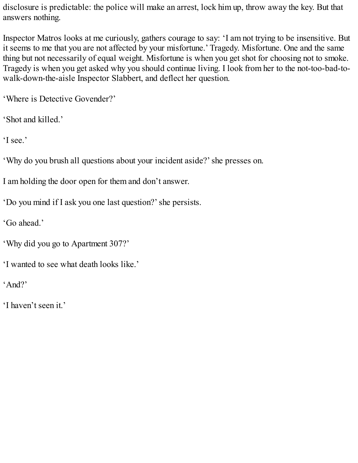disclosure is predictable: the police will make an arrest, lock him up, throw away the key. But that answers nothing.

Inspector Matros looks at me curiously, gathers courage to say: 'I am not trying to be insensitive. But it seems to me that you are not affected by your misfortune.' Tragedy. Misfortune. One and the same thing but not necessarily of equal weight. Misfortune is when you get shot for choosing not to smoke. Tragedy is when you get asked why you should continue living. I look from her to the not-too-bad-towalk-down-the-aisle Inspector Slabbert, and deflect her question.

'Where is Detective Govender?'

'Shot and killed.'

'I see.'

'Why do you brush all questions about your incident aside?'she presses on.

I am holding the door open for them and don't answer.

'Do you mind if I ask you one last question?'she persists.

'Go ahead.'

'Why did you go to Apartment 307?'

'I wanted to see what death looks like.'

'And?'

'I haven't seen it.'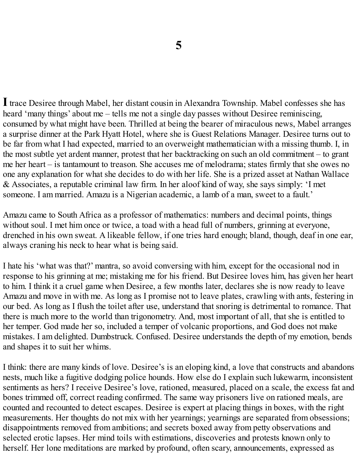<span id="page-29-0"></span>**I**trace Desiree through Mabel, her distant cousin in Alexandra Township. Mabel confesses she has heard 'many things' about me – tells me not a single day passes without Desiree reminiscing, consumed by what might have been. Thrilled at being the bearer of miraculous news, Mabel arranges a surprise dinner at the Park Hyatt Hotel, where she is Guest Relations Manager. Desiree turns out to be far from what I had expected, married to an overweight mathematician with a missing thumb. I, in the most subtle yet ardent manner, protest that her backtracking on such an old commitment – to grant me her heart – is tantamount to treason. She accuses me of melodrama; states firmly that she owes no one any explanation for what she decides to do with her life. She is a prized asset at Nathan Wallace & Associates, a reputable criminal law firm. In her aloof kind of way, she says simply: 'I met someone. I am married. Amazu is a Nigerian academic, a lamb of a man, sweet to a fault.'

Amazu came to South Africa as a professor of mathematics: numbers and decimal points, things without soul. I met him once or twice, a toad with a head full of numbers, grinning at everyone, drenched in his own sweat. A likeable fellow, if one tries hard enough; bland, though, deaf in one ear, always craning his neck to hear what is being said.

I hate his 'what was that?' mantra, so avoid conversing with him, except for the occasional nod in response to his grinning at me; mistaking me for his friend. But Desiree loves him, has given her heart to him. I think it a cruel game when Desiree, a few months later, declares she is now ready to leave Amazu and move in with me. As long as I promise not to leave plates, crawling with ants, festering in our bed. As long as I flush the toilet after use, understand that snoring is detrimental to romance. That there is much more to the world than trigonometry. And, most important of all, that she is entitled to her temper. God made her so, included a temper of volcanic proportions, and God does not make mistakes. I am delighted. Dumbstruck. Confused. Desiree understands the depth of my emotion, bends and shapes it to suit her whims.

I think: there are many kinds of love. Desiree's is an eloping kind, a love that constructs and abandons nests, much like a fugitive dodging police hounds. How else do I explain such lukewarm, inconsistent sentiments as hers? I receive Desiree's love, rationed, measured, placed on a scale, the excess fat and bones trimmed off, correct reading confirmed. The same way prisoners live on rationed meals, are counted and recounted to detect escapes. Desiree is expert at placing things in boxes, with the right measurements. Her thoughts do not mix with her yearnings; yearnings are separated from obsessions; disappointments removed from ambitions; and secrets boxed away from petty observations and selected erotic lapses. Her mind toils with estimations, discoveries and protests known only to herself. Her lone meditations are marked by profound, often scary, announcements, expressed as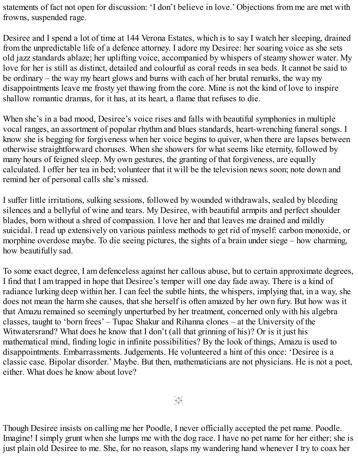statements of fact not open for discussion: 'I don't believe in love.' Objections from me are met with frowns, suspended rage.

Desiree and I spend a lot of time at 144 Verona Estates, which is to say I watch her sleeping, drained from the unpredictable life of a defence attorney. I adore my Desiree: her soaring voice as she sets old jazz standards ablaze; her uplifting voice, accompanied by whispers of steamy shower water. My love for her is still as distinct, detailed and colourful as coral reeds in sea beds. It cannot be said to be ordinary – the way my heart glows and burns with each of her brutal remarks, the way my disappointments leave me frosty yet thawing from the core. Mine is not the kind of love to inspire shallow romantic dramas, for it has, at its heart, a flame that refuses to die.

When she's in a bad mood, Desiree's voice rises and falls with beautiful symphonies in multiple vocal ranges, an assortment of popular rhythm and blues standards, heart-wrenching funeral songs. I know she is begging for forgiveness when her voice begins to quiver, when there are lapses between otherwise straightforward choruses. When she showers for what seems like eternity, followed by many hours of feigned sleep. My own gestures, the granting of that forgiveness, are equally calculated. I offer her tea in bed; volunteer that it will be the television news soon; note down and remind her of personal calls she's missed.

I suffer little irritations, sulking sessions, followed by wounded withdrawals, sealed by bleeding silences and a bellyful of wine and tears. My Desiree, with beautiful armpits and perfect shoulder blades, born without a shred of compassion. I love her and that leaves me drained and mildly suicidal. I read up extensively on various painless methods to get rid of myself: carbon monoxide, or morphine overdose maybe. To die seeing pictures, the sights of a brain under siege – how charming, how beautifully sad.

To some exact degree, I am defenceless against her callous abuse, but to certain approximate degrees, I find that I am trapped in hope that Desiree's temper will one day fade away. There is a kind of radiance lurking deep within her. I can feel the subtle hints, the whispers, implying that, in a way, she does not mean the harm she causes, that she herself is often amazed by her own fury. But how was it that Amazu remained so seemingly unperturbed by her treatment, concerned only with his algebra classes, taught to 'born frees' – Tupac Shakur and Rihanna clones – at the University of the Witwatersrand? What does he know that I don't (all that grinning of his)? Or is it just his mathematical mind, finding logic in infinite possibilities? By the look of things, Amazu is used to disappointments. Embarrassments. Judgements. He volunteered a hint of this once: 'Desiree is a classic case. Bipolar disorder.' Maybe. But then, mathematicians are not physicians. He is not a poet, either. What does he know about love?

 $\frac{1}{2}$ 

Though Desiree insists on calling me her Poodle, I never officially accepted the pet name. Poodle. Imagine! I simply grunt when she lumps me with the dog race. I have no pet name for her either; she is just plain old Desiree to me. She, for no reason, slaps my wandering hand whenever I try to coax her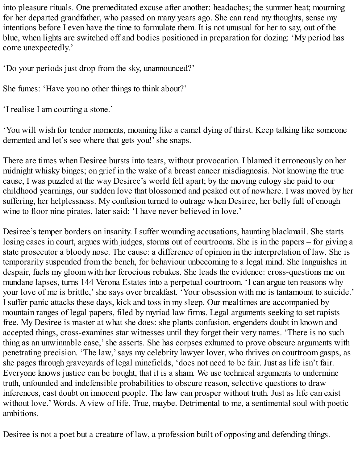into pleasure rituals. One premeditated excuse after another: headaches; the summer heat; mourning for her departed grandfather, who passed on many years ago. She can read my thoughts, sense my intentions before I even have the time to formulate them. It is not unusual for her to say, out of the blue, when lights are switched off and bodies positioned in preparation for dozing: 'My period has come unexpectedly.'

'Do your periods just drop from the sky, unannounced?'

She fumes: 'Have you no other things to think about?'

'I realise I am courting a stone.'

'You will wish for tender moments, moaning like a camel dying of thirst. Keep talking like someone demented and let's see where that gets you!' she snaps.

There are times when Desiree bursts into tears, without provocation. I blamed it erroneously on her midnight whisky binges; on grief in the wake of a breast cancer misdiagnosis. Not knowing the true cause, I was puzzled at the way Desiree's world fell apart; by the moving eulogy she paid to our childhood yearnings, our sudden love that blossomed and peaked out of nowhere. I was moved by her suffering, her helplessness. My confusion turned to outrage when Desiree, her belly full of enough wine to floor nine pirates, later said: 'I have never believed in love.'

Desiree's temper borders on insanity. I suffer wounding accusations, haunting blackmail. She starts losing cases in court, argues with judges, storms out of courtrooms. She is in the papers – for giving a state prosecutor a bloody nose. The cause: a difference of opinion in the interpretation of law. She is temporarily suspended from the bench, for behaviour unbecoming to a legal mind. She languishes in despair, fuels my gloom with her ferocious rebukes. She leads the evidence: cross-questions me on mundane lapses, turns 144 Verona Estates into a perpetual courtroom. 'I can argue ten reasons why your love of me is brittle,'she says over breakfast. 'Your obsession with me is tantamount to suicide.' I suffer panic attacks these days, kick and toss in my sleep. Our mealtimes are accompanied by mountain ranges of legal papers, filed by myriad law firms. Legal arguments seeking to set rapists free. My Desiree is master at what she does: she plants confusion, engenders doubt in known and accepted things, cross-examines star witnesses until they forget their very names. 'There is no such thing as an unwinnable case,'she asserts. She has corpses exhumed to prove obscure arguments with penetrating precision. 'The law,'says my celebrity lawyer lover, who thrives on courtroom gasps, as she pages through graveyards of legal minefields, 'does not need to be fair. Just as life isn't fair. Everyone knows justice can be bought, that it is a sham. We use technical arguments to undermine truth, unfounded and indefensible probabilities to obscure reason, selective questions to draw inferences, cast doubt on innocent people. The law can prosper without truth. Just as life can exist without love.' Words. A view of life. True, maybe. Detrimental to me, a sentimental soul with poetic ambitions.

Desiree is not a poet but a creature of law, a profession built of opposing and defending things.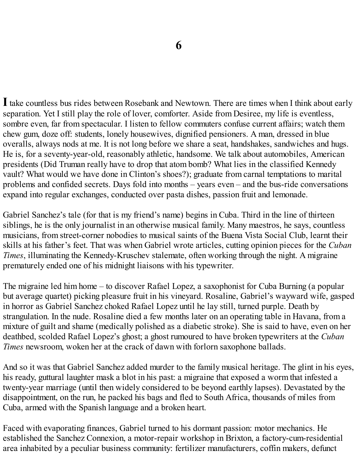<span id="page-32-0"></span>**I**take countless bus rides between Rosebank and Newtown. There are times when I think about early separation. Yet I still play the role of lover, comforter. Aside from Desiree, my life is eventless, sombre even, far from spectacular. I listen to fellow commuters confuse current affairs; watch them chew gum, doze off: students, lonely housewives, dignified pensioners. A man, dressed in blue overalls, always nods at me. It is not long before we share a seat, handshakes, sandwiches and hugs. He is, for a seventy-year-old, reasonably athletic, handsome. We talk about automobiles, American presidents (Did Truman really have to drop that atom bomb? What lies in the classified Kennedy vault? What would we have done in Clinton's shoes?); graduate from carnal temptations to marital problems and confided secrets. Days fold into months – years even – and the bus-ride conversations expand into regular exchanges, conducted over pasta dishes, passion fruit and lemonade.

Gabriel Sanchez's tale (for that is my friend's name) begins in Cuba. Third in the line of thirteen siblings, he is the only journalist in an otherwise musical family. Many maestros, he says, countless musicians, from street-corner nobodies to musical saints of the Buena Vista Social Club, learnt their skills at his father's feet. That was when Gabriel wrote articles, cutting opinion pieces for the *Cuban Times*, illuminating the Kennedy-Kruschev stalemate, often working through the night. A migraine prematurely ended one of his midnight liaisons with his typewriter.

The migraine led him home – to discover Rafael Lopez, a saxophonist for Cuba Burning (a popular but average quartet) picking pleasure fruit in his vineyard. Rosaline, Gabriel's wayward wife, gasped in horror as Gabriel Sanchez choked Rafael Lopez until he lay still, turned purple. Death by strangulation. In the nude. Rosaline died a few months later on an operating table in Havana, from a mixture of guilt and shame (medically polished as a diabetic stroke). She is said to have, even on her deathbed, scolded Rafael Lopez's ghost; a ghost rumoured to have broken typewriters at the *Cuban Times* newsroom, woken her at the crack of dawn with forlorn saxophone ballads.

And so it was that Gabriel Sanchez added murder to the family musical heritage. The glint in his eyes, his ready, guttural laughter mask a blot in his past: a migraine that exposed a worm that infested a twenty-year marriage (until then widely considered to be beyond earthly lapses). Devastated by the disappointment, on the run, he packed his bags and fled to South Africa, thousands of miles from Cuba, armed with the Spanish language and a broken heart.

Faced with evaporating finances, Gabriel turned to his dormant passion: motor mechanics. He established the Sanchez Connexion, a motor-repair workshop in Brixton, a factory-cum-residential area inhabited by a peculiar business community: fertilizer manufacturers, coffin makers, defunct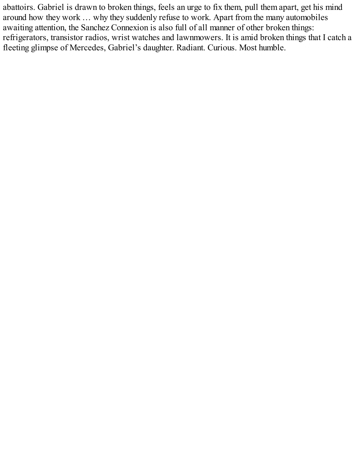abattoirs. Gabriel is drawn to broken things, feels an urge to fix them, pull them apart, get his mind around how they work … why they suddenly refuse to work. Apart from the many automobiles awaiting attention, the Sanchez Connexion is also full of all manner of other broken things: refrigerators, transistor radios, wrist watches and lawnmowers. It is amid broken things that I catch a fleeting glimpse of Mercedes, Gabriel's daughter. Radiant. Curious. Most humble.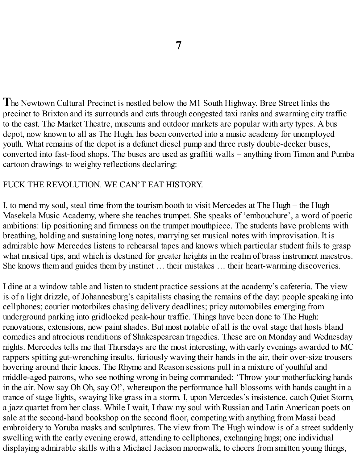<span id="page-34-0"></span>**T**he Newtown Cultural Precinct is nestled below the M1 South Highway. Bree Street links the precinct to Brixton and its surrounds and cuts through congested taxi ranks and swarming city traffic to the east. The Market Theatre, museums and outdoor markets are popular with arty types. A bus depot, now known to all as The Hugh, has been converted into a music academy for unemployed youth. What remains of the depot is a defunct diesel pump and three rusty double-decker buses, converted into fast-food shops. The buses are used as graffiti walls – anything from Timon and Pumba cartoon drawings to weighty reflections declaring:

#### FUCK THE REVOLUTION. WE CAN'T EAT HISTORY.

I, to mend my soul, steal time from the tourism booth to visit Mercedes at The Hugh – the Hugh Masekela Music Academy, where she teaches trumpet. She speaks of 'embouchure', a word of poetic ambitions: lip positioning and firmness on the trumpet mouthpiece. The students have problems with breathing, holding and sustaining long notes, marrying set musical notes with improvisation. It is admirable how Mercedes listens to rehearsal tapes and knows which particular student fails to grasp what musical tips, and which is destined for greater heights in the realm of brass instrument maestros. She knows them and guides them by instinct … their mistakes … their heart-warming discoveries.

I dine at a window table and listen to student practice sessions at the academy's cafeteria. The view is of a light drizzle, of Johannesburg's capitalists chasing the remains of the day: people speaking into cellphones; courier motorbikes chasing delivery deadlines; pricy automobiles emerging from underground parking into gridlocked peak-hour traffic. Things have been done to The Hugh: renovations, extensions, new paint shades. But most notable of all is the oval stage that hosts bland comedies and atrocious renditions of Shakespearean tragedies. These are on Monday and Wednesday nights. Mercedes tells me that Thursdays are the most interesting, with early evenings awarded to MC rappers spitting gut-wrenching insults, furiously waving their hands in the air, their over-size trousers hovering around their knees. The Rhyme and Reason sessions pull in a mixture of youthful and middle-aged patrons, who see nothing wrong in being commanded: 'Throw your motherfucking hands in the air. Now say Oh Oh, say O!', whereupon the performance hall blossoms with hands caught in a trance of stage lights, swaying like grass in a storm. I, upon Mercedes's insistence, catch Quiet Storm, a jazz quartet from her class. While I wait, I thaw my soul with Russian and Latin American poets on sale at the second-hand bookshop on the second floor, competing with anything from Masai bead embroidery to Yoruba masks and sculptures. The view from The Hugh window is of a street suddenly swelling with the early evening crowd, attending to cellphones, exchanging hugs; one individual displaying admirable skills with a Michael Jackson moonwalk, to cheers from smitten young things,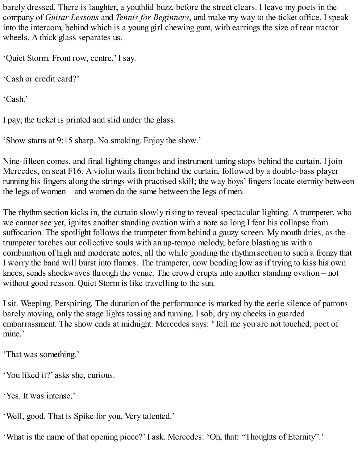barely dressed. There is laughter, a youthful buzz, before the street clears. I leave my poets in the company of *Guitar Lessons* and *Tennis for Beginners*, and make my way to the ticket office. I speak into the intercom, behind which is a young girl chewing gum, with earrings the size of rear tractor wheels. A thick glass separates us.

'Quiet Storm. Front row, centre,' I say.

'Cash or credit card?'

'Cash.'

I pay; the ticket is printed and slid under the glass.

'Show starts at 9:15 sharp. No smoking. Enjoy the show.'

Nine-fifteen comes, and final lighting changes and instrument tuning stops behind the curtain. I join Mercedes, on seat F16. A violin wails from behind the curtain, followed by a double-bass player running his fingers along the strings with practised skill; the way boys' fingers locate eternity between the legs of women – and women do the same between the legs of men.

The rhythm section kicks in, the curtain slowly rising to reveal spectacular lighting. A trumpeter, who we cannot see yet, ignites another standing ovation with a note so long I fear his collapse from suffocation. The spotlight follows the trumpeter from behind a gauzy screen. My mouth dries, as the trumpeter torches our collective souls with an up-tempo melody, before blasting us with a combination of high and moderate notes, all the while goading the rhythm section to such a frenzy that I worry the band will burst into flames. The trumpeter, now bending low as if trying to kiss his own knees, sends shockwaves through the venue. The crowd erupts into another standing ovation – not without good reason. Quiet Storm is like travelling to the sun.

I sit. Weeping. Perspiring. The duration of the performance is marked by the eerie silence of patrons barely moving, only the stage lights tossing and turning. I sob, dry my cheeks in guarded embarrassment. The show ends at midnight. Mercedes says: 'Tell me you are not touched, poet of mine.'

'That was something.'

'You liked it?' asks she, curious.

'Yes. It was intense.'

'Well, good. That is Spike for you. Very talented.'

'What is the name of that opening piece?' I ask. Mercedes: 'Oh, that: "Thoughts of Eternity".'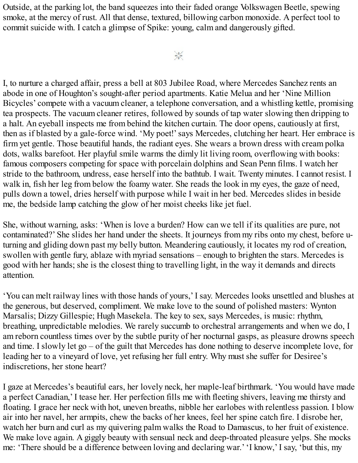Outside, at the parking lot, the band squeezes into their faded orange Volkswagen Beetle, spewing smoke, at the mercy of rust. All that dense, textured, billowing carbon monoxide. A perfect tool to commit suicide with. I catch a glimpse of Spike: young, calm and dangerously gifted.

I, to nurture a charged affair, press a bell at 803 Jubilee Road, where Mercedes Sanchez rents an abode in one of Houghton's sought-after period apartments. Katie Melua and her 'Nine Million Bicycles' compete with a vacuum cleaner, a telephone conversation, and a whistling kettle, promising tea prospects. The vacuum cleaner retires, followed by sounds of tap water slowing then dripping to a halt. An eyeball inspects me from behind the kitchen curtain. The door opens, cautiously at first, then as if blasted by a gale-force wind. 'My poet!'says Mercedes, clutching her heart. Her embrace is firm yet gentle. Those beautiful hands, the radiant eyes. She wears a brown dress with cream polka dots, walks barefoot. Her playful smile warms the dimly lit living room, overflowing with books: famous composers competing for space with porcelain dolphins and Sean Penn films. I watch her stride to the bathroom, undress, ease herself into the bathtub. I wait. Twenty minutes. I cannot resist. I walk in, fish her leg from below the foamy water. She reads the look in my eyes, the gaze of need, pulls down a towel, dries herself with purpose while I wait in her bed. Mercedes slides in beside me, the bedside lamp catching the glow of her moist cheeks like jet fuel.

She, without warning, asks: 'When is love a burden? How can we tell if its qualities are pure, not contaminated?' She slides her hand under the sheets. It journeys from my ribs onto my chest, before uturning and gliding down past my belly button. Meandering cautiously, it locates my rod of creation, swollen with gentle fury, ablaze with myriad sensations – enough to brighten the stars. Mercedes is good with her hands; she is the closest thing to travelling light, in the way it demands and directs attention.

'You can melt railway lines with those hands of yours,' I say. Mercedes looks unsettled and blushes at the generous, but deserved, compliment. We make love to the sound of polished masters: Wynton Marsalis; Dizzy Gillespie; Hugh Masekela. The key to sex, says Mercedes, is music: rhythm, breathing, unpredictable melodies. We rarely succumb to orchestral arrangements and when we do, I am reborn countless times over by the subtle purity of her nocturnal gasps, as pleasure drowns speech and time. I slowly let go – of the guilt that Mercedes has done nothing to deserve incomplete love, for leading her to a vineyard of love, yet refusing her full entry. Why must she suffer for Desiree's indiscretions, her stone heart?

I gaze at Mercedes's beautiful ears, her lovely neck, her maple-leaf birthmark. 'You would have made a perfect Canadian,' I tease her. Her perfection fills me with fleeting shivers, leaving me thirsty and floating. I grace her neck with hot, uneven breaths, nibble her earlobes with relentless passion. I blow air into her navel, her armpits, chew the backs of her knees, feel her spine catch fire. I disrobe her, watch her burn and curl as my quivering palm walks the Road to Damascus, to her fruit of existence. We make love again. A giggly beauty with sensual neck and deep-throated pleasure yelps. She mocks me: 'There should be a difference between loving and declaring war.' 'I know,' I say, 'but this, my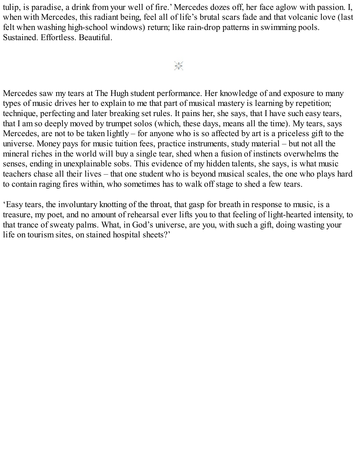tulip, is paradise, a drink from your well of fire.' Mercedes dozes off, her face aglow with passion. I, when with Mercedes, this radiant being, feel all of life's brutal scars fade and that volcanic love (last felt when washing high-school windows) return; like rain-drop patterns in swimming pools. Sustained. Effortless. Beautiful.

 $\frac{1}{2} \frac{M^2}{N^2}$ 

Mercedes saw my tears at The Hugh student performance. Her knowledge of and exposure to many types of music drives her to explain to me that part of musical mastery is learning by repetition; technique, perfecting and later breaking set rules. It pains her, she says, that I have such easy tears, that I am so deeply moved by trumpet solos (which, these days, means all the time). My tears, says Mercedes, are not to be taken lightly – for anyone who is so affected by art is a priceless gift to the universe. Money pays for music tuition fees, practice instruments, study material – but not all the mineral riches in the world will buy a single tear, shed when a fusion of instincts overwhelms the senses, ending in unexplainable sobs. This evidence of my hidden talents, she says, is what music teachers chase all their lives – that one student who is beyond musical scales, the one who plays hard to contain raging fires within, who sometimes has to walk off stage to shed a few tears.

'Easy tears, the involuntary knotting of the throat, that gasp for breath in response to music, is a treasure, my poet, and no amount of rehearsal ever lifts you to that feeling of light-hearted intensity, to that trance of sweaty palms. What, in God's universe, are you, with such a gift, doing wasting your life on tourism sites, on stained hospital sheets?'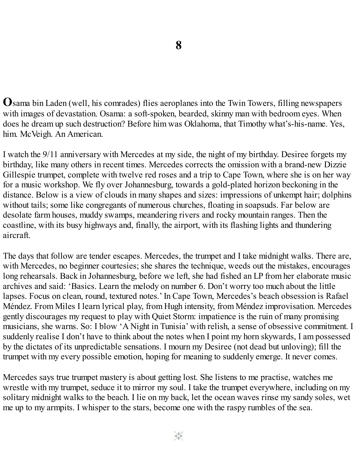**O**sama bin Laden (well, his comrades) flies aeroplanes into the Twin Towers, filling newspapers with images of devastation. Osama: a soft-spoken, bearded, skinny man with bedroom eyes. When does he dream up such destruction? Before him was Oklahoma, that Timothy what's-his-name. Yes, him. McVeigh. An American.

I watch the 9/11 anniversary with Mercedes at my side, the night of my birthday. Desiree forgets my birthday, like many others in recent times. Mercedes corrects the omission with a brand-new Dizzie Gillespie trumpet, complete with twelve red roses and a trip to Cape Town, where she is on her way for a music workshop. We fly over Johannesburg, towards a gold-plated horizon beckoning in the distance. Below is a view of clouds in many shapes and sizes: impressions of unkempt hair; dolphins without tails; some like congregants of numerous churches, floating in soapsuds. Far below are desolate farm houses, muddy swamps, meandering rivers and rocky mountain ranges. Then the coastline, with its busy highways and, finally, the airport, with its flashing lights and thundering aircraft.

The days that follow are tender escapes. Mercedes, the trumpet and I take midnight walks. There are, with Mercedes, no beginner courtesies; she shares the technique, weeds out the mistakes, encourages long rehearsals. Back in Johannesburg, before we left, she had fished an LP from her elaborate music archives and said: 'Basics. Learn the melody on number 6. Don't worry too much about the little lapses. Focus on clean, round, textured notes.' In Cape Town, Mercedes's beach obsession is Rafael Méndez. From Miles I learn lyrical play, from Hugh intensity, from Méndez improvisation. Mercedes gently discourages my request to play with Quiet Storm: impatience is the ruin of many promising musicians, she warns. So: I blow 'A Night in Tunisia' with relish, a sense of obsessive commitment. I suddenly realise I don't have to think about the notes when I point my horn skywards, I am possessed by the dictates of its unpredictable sensations. I mourn my Desiree (not dead but unloving); fill the trumpet with my every possible emotion, hoping for meaning to suddenly emerge. It never comes.

Mercedes says true trumpet mastery is about getting lost. She listens to me practise, watches me wrestle with my trumpet, seduce it to mirror my soul. I take the trumpet everywhere, including on my solitary midnight walks to the beach. I lie on my back, let the ocean waves rinse my sandy soles, wet me up to my armpits. I whisper to the stars, become one with the raspy rumbles of the sea.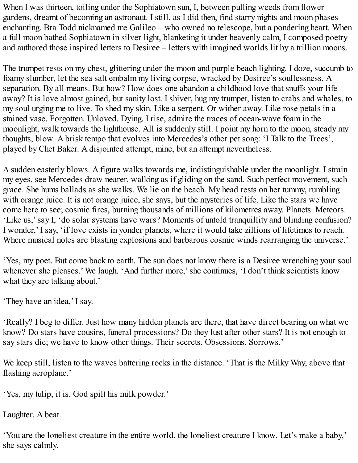When I was thirteen, toiling under the Sophiatown sun, I, between pulling weeds from flower gardens, dreamt of becoming an astronaut. I still, as I did then, find starry nights and moon phases enchanting. Bra Todd nicknamed me Galileo – who owned no telescope, but a pondering heart. When a full moon bathed Sophiatown in silver light, blanketing it under heavenly calm, I composed poetry and authored those inspired letters to Desiree – letters with imagined worlds lit by a trillion moons.

The trumpet rests on my chest, glittering under the moon and purple beach lighting. I doze, succumb to foamy slumber, let the sea salt embalm my living corpse, wracked by Desiree's soullessness. A separation. By all means. But how? How does one abandon a childhood love that snuffs your life away? It is love almost gained, but sanity lost. I shiver, hug my trumpet, listen to crabs and whales, to my soul urging me to live. To shed my skin. Like a serpent. Or wither away. Like rose petals in a stained vase. Forgotten. Unloved. Dying. I rise, admire the traces of ocean-wave foam in the moonlight, walk towards the lighthouse. All is suddenly still. I point my horn to the moon, steady my thoughts, blow. A brisk tempo that evolves into Mercedes's other pet song: 'I Talk to the Trees', played by Chet Baker. A disjointed attempt, mine, but an attempt nevertheless.

A sudden easterly blows. A figure walks towards me, indistinguishable under the moonlight. I strain my eyes, see Mercedes draw nearer, walking as if gliding on the sand. Such perfect movement, such grace. She hums ballads as she walks. We lie on the beach. My head rests on her tummy, rumbling with orange juice. It is not orange juice, she says, but the mysteries of life. Like the stars we have come here to see; cosmic fires, burning thousands of millions of kilometres away. Planets. Meteors. 'Like us,'say I, 'do solar systems have wars? Moments of untold tranquillity and blinding confusion? I wonder,' I say, 'if love exists in yonder planets, where it would take zillions of lifetimes to reach. Where musical notes are blasting explosions and barbarous cosmic winds rearranging the universe.'

'Yes, my poet. But come back to earth. The sun does not know there is a Desiree wrenching your soul whenever she pleases.' We laugh. 'And further more,'she continues, 'I don't think scientists know what they are talking about.'

'They have an idea,' I say.

'Really? I beg to differ. Just how many hidden planets are there, that have direct bearing on what we know? Do stars have cousins, funeral processions? Do they lust after other stars? It is not enough to say stars die; we have to know other things. Their secrets. Obsessions. Sorrows.'

We keep still, listen to the waves battering rocks in the distance. 'That is the Milky Way, above that flashing aeroplane.'

'Yes, my tulip, it is. God spilt his milk powder.'

Laughter. A beat.

'You are the loneliest creature in the entire world, the loneliest creature I know. Let's make a baby,' she says calmly.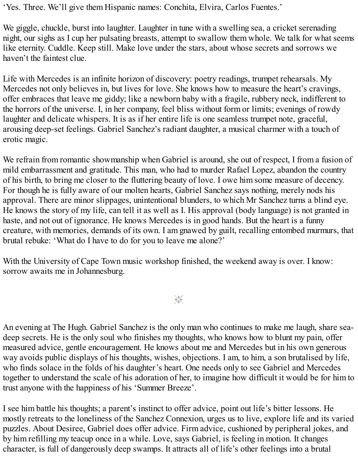'Yes. Three. We'll give them Hispanic names: Conchita, Elvira, Carlos Fuentes.'

We giggle, chuckle, burst into laughter. Laughter in tune with a swelling sea, a cricket serenading night, our sighs as I cup her pulsating breasts, attempt to swallow them whole. We talk for what seems like eternity. Cuddle. Keep still. Make love under the stars, about whose secrets and sorrows we haven't the faintest clue.

Life with Mercedes is an infinite horizon of discovery: poetry readings, trumpet rehearsals. My Mercedes not only believes in, but lives for love. She knows how to measure the heart's cravings, offer embraces that leave me giddy; like a newborn baby with a fragile, rubbery neck, indifferent to the horrors of the universe. I, in her company, feel bliss without form or limits; evenings of rowdy laughter and delicate whispers. It is as if her entire life is one seamless trumpet note, graceful, arousing deep-set feelings. Gabriel Sanchez's radiant daughter, a musical charmer with a touch of erotic magic.

We refrain from romantic showmanship when Gabriel is around, she out of respect, I from a fusion of mild embarrassment and gratitude. This man, who had to murder Rafael Lopez, abandon the country of his birth, to bring me closer to the fluttering beauty of love. I owe him some measure of decency. For though he is fully aware of our molten hearts, Gabriel Sanchez says nothing, merely nods his approval. There are minor slippages, unintentional blunders, to which Mr Sanchez turns a blind eye. He knows the story of my life, can tell it as well as I. His approval (body language) is not granted in haste, and not out of ignorance. He knows Mercedes is in good hands. But the heart is a funny creature, with memories, demands of its own. I am gnawed by guilt, recalling entombed murmurs, that brutal rebuke: 'What do I have to do for you to leave me alone?'

With the University of Cape Town music workshop finished, the weekend away is over. I know: sorrow awaits me in Johannesburg.

 $\frac{1}{2}$ 

An evening at The Hugh. Gabriel Sanchez is the only man who continues to make me laugh, share seadeep secrets. He is the only soul who finishes my thoughts, who knows how to blunt my pain, offer measured advice, gentle encouragement. He knows about me and Mercedes but in his own generous way avoids public displays of his thoughts, wishes, objections. I am, to him, a son brutalised by life, who finds solace in the folds of his daughter's heart. One needs only to see Gabriel and Mercedes together to understand the scale of his adoration of her, to imagine how difficult it would be for him to trust anyone with the happiness of his 'Summer Breeze'.

I see him battle his thoughts; a parent's instinct to offer advice, point out life's bitter lessons. He mostly retreats to the loneliness of the Sanchez Connexion, urges us to live, explore life and its varied puzzles. About Desiree, Gabriel does offer advice. Firm advice, cushioned by peripheral jokes, and by him refilling my teacup once in a while. Love, says Gabriel, is feeling in motion. It changes character, is full of dangerously deep swamps. It attracts all of life's other feelings into a brutal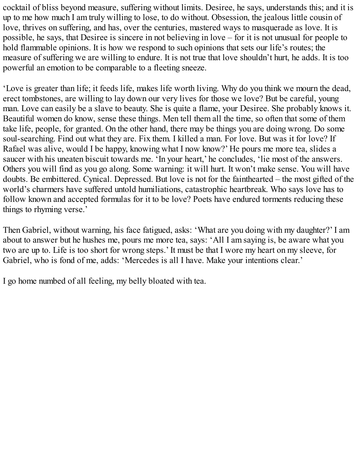cocktail of bliss beyond measure, suffering without limits. Desiree, he says, understands this; and it is up to me how much I am truly willing to lose, to do without. Obsession, the jealous little cousin of love, thrives on suffering, and has, over the centuries, mastered ways to masquerade as love. It is possible, he says, that Desiree is sincere in not believing in love – for it is not unusual for people to hold flammable opinions. It is how we respond to such opinions that sets our life's routes; the measure of suffering we are willing to endure. It is not true that love shouldn't hurt, he adds. It is too powerful an emotion to be comparable to a fleeting sneeze.

'Love is greater than life; it feeds life, makes life worth living. Why do you think we mourn the dead, erect tombstones, are willing to lay down our very lives for those we love? But be careful, young man. Love can easily be a slave to beauty. She is quite a flame, your Desiree. She probably knows it. Beautiful women do know, sense these things. Men tell them all the time, so often that some of them take life, people, for granted. On the other hand, there may be things you are doing wrong. Do some soul-searching. Find out what they are. Fix them. I killed a man. For love. But was it for love? If Rafael was alive, would I be happy, knowing what I now know?' He pours me more tea, slides a saucer with his uneaten biscuit towards me. 'In your heart,' he concludes, 'lie most of the answers. Others you will find as you go along. Some warning: it will hurt. It won't make sense. You will have doubts. Be embittered. Cynical. Depressed. But love is not for the fainthearted – the most gifted of the world's charmers have suffered untold humiliations, catastrophic heartbreak. Who says love has to follow known and accepted formulas for it to be love? Poets have endured torments reducing these things to rhyming verse.'

Then Gabriel, without warning, his face fatigued, asks: 'What are you doing with my daughter?' I am about to answer but he hushes me, pours me more tea, says: 'All I am saying is, be aware what you two are up to. Life is too short for wrong steps.' It must be that I wore my heart on my sleeve, for Gabriel, who is fond of me, adds: 'Mercedes is all I have. Make your intentions clear.'

I go home numbed of all feeling, my belly bloated with tea.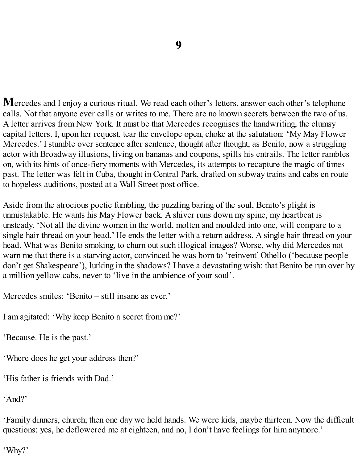**M**ercedes and I enjoy a curious ritual. We read each other's letters, answer each other's telephone calls. Not that anyone ever calls or writes to me. There are no known secrets between the two of us. A letter arrives from New York. It must be that Mercedes recognises the handwriting, the clumsy capital letters. I, upon her request, tear the envelope open, choke at the salutation: 'My May Flower Mercedes.' I stumble over sentence after sentence, thought after thought, as Benito, now a struggling actor with Broadway illusions, living on bananas and coupons, spills his entrails. The letter rambles on, with its hints of once-fiery moments with Mercedes, its attempts to recapture the magic of times past. The letter was felt in Cuba, thought in Central Park, drafted on subway trains and cabs en route to hopeless auditions, posted at a Wall Street post office.

Aside from the atrocious poetic fumbling, the puzzling baring of the soul, Benito's plight is unmistakable. He wants his May Flower back. A shiver runs down my spine, my heartbeat is unsteady. 'Not all the divine women in the world, molten and moulded into one, will compare to a single hair thread on your head.' He ends the letter with a return address. A single hair thread on your head. What was Benito smoking, to churn out such illogical images? Worse, why did Mercedes not warn me that there is a starving actor, convinced he was born to 'reinvent' Othello ('because people don't get Shakespeare'), lurking in the shadows? I have a devastating wish: that Benito be run over by a million yellow cabs, never to 'live in the ambience of your soul'.

Mercedes smiles: 'Benito – still insane as ever.'

I am agitated: 'Why keep Benito a secret from me?'

'Because. He is the past.'

'Where does he get your address then?'

'His father is friends with Dad.'

'And?'

'Family dinners, church; then one day we held hands. We were kids, maybe thirteen. Now the difficult questions: yes, he deflowered me at eighteen, and no, I don't have feelings for him anymore.'

'Why?'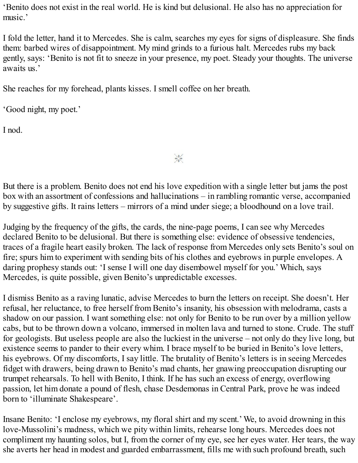'Benito does not exist in the real world. He is kind but delusional. He also has no appreciation for music.'

I fold the letter, hand it to Mercedes. She is calm, searches my eyes for signs of displeasure. She finds them: barbed wires of disappointment. My mind grinds to a furious halt. Mercedes rubs my back gently, says: 'Benito is not fit to sneeze in your presence, my poet. Steady your thoughts. The universe awaits us.'

She reaches for my forehead, plants kisses. I smell coffee on her breath.

'Good night, my poet.'

I nod.

But there is a problem. Benito does not end his love expedition with a single letter but jams the post box with an assortment of confessions and hallucinations – in rambling romantic verse, accompanied by suggestive gifts. It rains letters – mirrors of a mind under siege; a bloodhound on a love trail.

 $\frac{1}{\sqrt{2}}$ 

Judging by the frequency of the gifts, the cards, the nine-page poems, I can see why Mercedes declared Benito to be delusional. But there is something else: evidence of obsessive tendencies, traces of a fragile heart easily broken. The lack of response from Mercedes only sets Benito's soul on fire; spurs him to experiment with sending bits of his clothes and eyebrows in purple envelopes. A daring prophesy stands out: 'I sense I will one day disembowel myself for you.' Which, says Mercedes, is quite possible, given Benito's unpredictable excesses.

I dismiss Benito as a raving lunatic, advise Mercedes to burn the letters on receipt. She doesn't. Her refusal, her reluctance, to free herself from Benito's insanity, his obsession with melodrama, casts a shadow on our passion. I want something else: not only for Benito to be run over by a million yellow cabs, but to be thrown down a volcano, immersed in molten lava and turned to stone. Crude. The stuff for geologists. But useless people are also the luckiest in the universe – not only do they live long, but existence seems to pander to their every whim. I brace myself to be buried in Benito's love letters, his eyebrows. Of my discomforts, I say little. The brutality of Benito's letters is in seeing Mercedes fidget with drawers, being drawn to Benito's mad chants, her gnawing preoccupation disrupting our trumpet rehearsals. To hell with Benito, I think. If he has such an excess of energy, overflowing passion, let him donate a pound of flesh, chase Desdemonas in Central Park, prove he was indeed born to 'illuminate Shakespeare'.

Insane Benito: 'I enclose my eyebrows, my floral shirt and my scent.' We, to avoid drowning in this love-Mussolini's madness, which we pity within limits, rehearse long hours. Mercedes does not compliment my haunting solos, but I, from the corner of my eye, see her eyes water. Her tears, the way she averts her head in modest and guarded embarrassment, fills me with such profound breath, such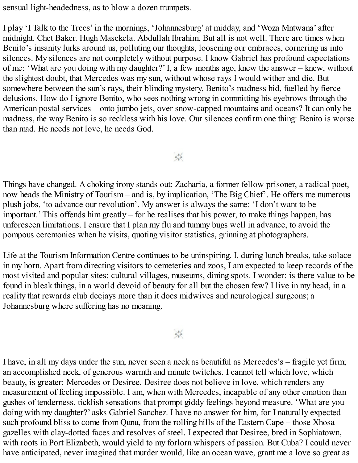sensual light-headedness, as to blow a dozen trumpets.

I play 'I Talk to the Trees' in the mornings, 'Johannesburg' at midday, and 'Woza Mntwana' after midnight. Chet Baker. Hugh Masekela. Abdullah Ibrahim. But all is not well. There are times when Benito's insanity lurks around us, polluting our thoughts, loosening our embraces, cornering us into silences. My silences are not completely without purpose. I know Gabriel has profound expectations of me: 'What are you doing with my daughter?' I, a few months ago, knew the answer – knew, without the slightest doubt, that Mercedes was my sun, without whose rays I would wither and die. But somewhere between the sun's rays, their blinding mystery, Benito's madness hid, fuelled by fierce delusions. How do I ignore Benito, who sees nothing wrong in committing his eyebrows through the American postal services – onto jumbo jets, over snow-capped mountains and oceans? It can only be madness, the way Benito is so reckless with his love. Our silences confirm one thing: Benito is worse than mad. He needs not love, he needs God.

 $\frac{1}{2}$ 

Things have changed. A choking irony stands out: Zacharia, a former fellow prisoner, a radical poet, now heads the Ministry of Tourism – and is, by implication, 'The Big Chief'. He offers me numerous plush jobs, 'to advance our revolution'. My answer is always the same: 'I don't want to be important.' This offends him greatly – for he realises that his power, to make things happen, has unforeseen limitations. I ensure that I plan my flu and tummy bugs well in advance, to avoid the pompous ceremonies when he visits, quoting visitor statistics, grinning at photographers.

Life at the Tourism Information Centre continues to be uninspiring. I, during lunch breaks, take solace in my horn. Apart from directing visitors to cemeteries and zoos, I am expected to keep records of the most visited and popular sites: cultural villages, museums, dining spots. I wonder: is there value to be found in bleak things, in a world devoid of beauty for all but the chosen few? I live in my head, in a reality that rewards club deejays more than it does midwives and neurological surgeons; a Johannesburg where suffering has no meaning.

 $\frac{1}{2}$ 

I have, in all my days under the sun, never seen a neck as beautiful as Mercedes's – fragile yet firm; an accomplished neck, of generous warmth and minute twitches. I cannot tell which love, which beauty, is greater: Mercedes or Desiree. Desiree does not believe in love, which renders any measurement of feeling impossible. I am, when with Mercedes, incapable of any other emotion than gushes of tenderness, ticklish sensations that prompt giddy feelings beyond measure. 'What are you doing with my daughter?' asks Gabriel Sanchez. I have no answer for him, for I naturally expected such profound bliss to come from Qunu, from the rolling hills of the Eastern Cape – those Xhosa gazelles with clay-dotted faces and resolves of steel. I expected that Desiree, bred in Sophiatown, with roots in Port Elizabeth, would yield to my forlorn whispers of passion. But Cuba? I could never have anticipated, never imagined that murder would, like an ocean wave, grant me a love so great as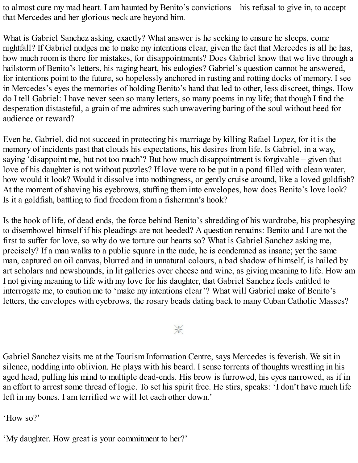to almost cure my mad heart. I am haunted by Benito's convictions – his refusal to give in, to accept that Mercedes and her glorious neck are beyond him.

What is Gabriel Sanchez asking, exactly? What answer is he seeking to ensure he sleeps, come nightfall? If Gabriel nudges me to make my intentions clear, given the fact that Mercedes is all he has, how much room is there for mistakes, for disappointments? Does Gabriel know that we live through a hailstorm of Benito's letters, his raging heart, his eulogies? Gabriel's question cannot be answered, for intentions point to the future, so hopelessly anchored in rusting and rotting docks of memory. I see in Mercedes's eyes the memories of holding Benito's hand that led to other, less discreet, things. How do I tell Gabriel: I have never seen so many letters, so many poems in my life; that though I find the desperation distasteful, a grain of me admires such unwavering baring of the soul without heed for audience or reward?

Even he, Gabriel, did not succeed in protecting his marriage by killing Rafael Lopez, for it is the memory of incidents past that clouds his expectations, his desires from life. Is Gabriel, in a way, saying 'disappoint me, but not too much'? But how much disappointment is forgivable – given that love of his daughter is not without puzzles? If love were to be put in a pond filled with clean water, how would it look? Would it dissolve into nothingness, or gently cruise around, like a loved goldfish? At the moment of shaving his eyebrows, stuffing them into envelopes, how does Benito's love look? Is it a goldfish, battling to find freedom from a fisherman's hook?

Is the hook of life, of dead ends, the force behind Benito's shredding of his wardrobe, his prophesying to disembowel himself if his pleadings are not heeded? A question remains: Benito and I are not the first to suffer for love, so why do we torture our hearts so? What is Gabriel Sanchez asking me, precisely? If a man walks to a public square in the nude, he is condemned as insane; yet the same man, captured on oil canvas, blurred and in unnatural colours, a bad shadow of himself, is hailed by art scholars and newshounds, in lit galleries over cheese and wine, as giving meaning to life. How am I not giving meaning to life with my love for his daughter, that Gabriel Sanchez feels entitled to interrogate me, to caution me to 'make my intentions clear'? What will Gabriel make of Benito's letters, the envelopes with eyebrows, the rosary beads dating back to many Cuban Catholic Masses?

 $\frac{1}{2}$ 

Gabriel Sanchez visits me at the Tourism Information Centre, says Mercedes is feverish. We sit in silence, nodding into oblivion. He plays with his beard. I sense torrents of thoughts wrestling in his aged head, pulling his mind to multiple dead-ends. His brow is furrowed, his eyes narrowed, as if in an effort to arrest some thread of logic. To set his spirit free. He stirs, speaks: 'I don't have much life left in my bones. I am terrified we will let each other down.'

'How so?'

'My daughter. How great is your commitment to her?'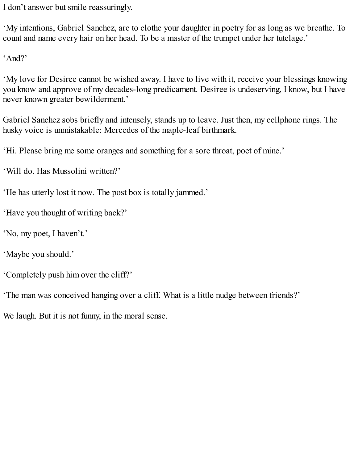I don't answer but smile reassuringly.

'My intentions, Gabriel Sanchez, are to clothe your daughter in poetry for as long as we breathe. To count and name every hair on her head. To be a master of the trumpet under her tutelage.'

'And?'

'My love for Desiree cannot be wished away. I have to live with it, receive your blessings knowing you know and approve of my decades-long predicament. Desiree is undeserving, I know, but I have never known greater bewilderment.'

Gabriel Sanchez sobs briefly and intensely, stands up to leave. Just then, my cellphone rings. The husky voice is unmistakable: Mercedes of the maple-leaf birthmark.

'Hi. Please bring me some oranges and something for a sore throat, poet of mine.'

'Will do. Has Mussolini written?'

'He has utterly lost it now. The post box is totally jammed.'

'Have you thought of writing back?'

'No, my poet, I haven't.'

'Maybe you should.'

'Completely push him over the cliff?'

'The man was conceived hanging over a cliff. What is a little nudge between friends?'

We laugh. But it is not funny, in the moral sense.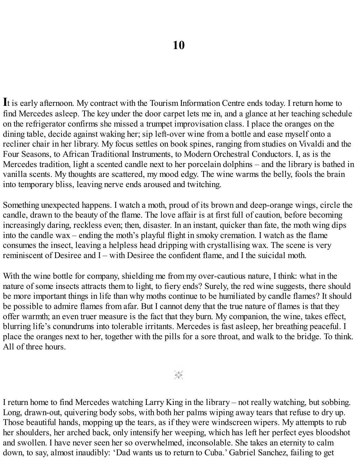**I**t is early afternoon. My contract with the Tourism Information Centre ends today. I return home to find Mercedes asleep. The key under the door carpet lets me in, and a glance at her teaching schedule on the refrigerator confirms she missed a trumpet improvisation class. I place the oranges on the dining table, decide against waking her; sip left-over wine from a bottle and ease myself onto a recliner chair in her library. My focus settles on book spines, ranging from studies on Vivaldi and the Four Seasons, to African Traditional Instruments, to Modern Orchestral Conductors. I, as is the Mercedes tradition, light a scented candle next to her porcelain dolphins – and the library is bathed in vanilla scents. My thoughts are scattered, my mood edgy. The wine warms the belly, fools the brain into temporary bliss, leaving nerve ends aroused and twitching.

Something unexpected happens. I watch a moth, proud of its brown and deep-orange wings, circle the candle, drawn to the beauty of the flame. The love affair is at first full of caution, before becoming increasingly daring, reckless even; then, disaster. In an instant, quicker than fate, the moth wing dips into the candle wax – ending the moth's playful flight in smoky cremation. I watch as the flame consumes the insect, leaving a helpless head dripping with crystallising wax. The scene is very reminiscent of Desiree and I – with Desiree the confident flame, and I the suicidal moth.

With the wine bottle for company, shielding me from my over-cautious nature, I think: what in the nature of some insects attracts them to light, to fiery ends? Surely, the red wine suggests, there should be more important things in life than why moths continue to be humiliated by candle flames? It should be possible to admire flames from afar. But I cannot deny that the true nature of flames is that they offer warmth; an even truer measure is the fact that they burn. My companion, the wine, takes effect, blurring life's conundrums into tolerable irritants. Mercedes is fast asleep, her breathing peaceful. I place the oranges next to her, together with the pills for a sore throat, and walk to the bridge. To think. All of three hours.

 $\frac{1}{2}$ 

I return home to find Mercedes watching Larry King in the library – not really watching, but sobbing. Long, drawn-out, quivering body sobs, with both her palms wiping away tears that refuse to dry up. Those beautiful hands, mopping up the tears, as if they were windscreen wipers. My attempts to rub her shoulders, her arched back, only intensify her weeping, which has left her perfect eyes bloodshot and swollen. I have never seen her so overwhelmed, inconsolable. She takes an eternity to calm down, to say, almost inaudibly: 'Dad wants us to return to Cuba.' Gabriel Sanchez, failing to get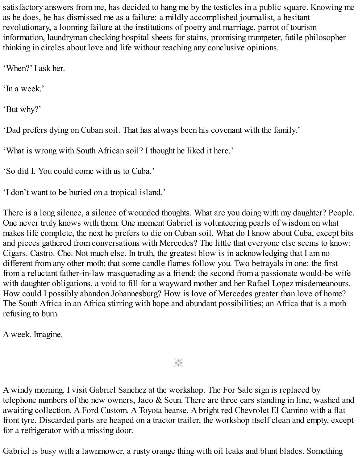satisfactory answers from me, has decided to hang me by the testicles in a public square. Knowing me as he does, he has dismissed me as a failure: a mildly accomplished journalist, a hesitant revolutionary, a looming failure at the institutions of poetry and marriage, parrot of tourism information, laundryman checking hospital sheets for stains, promising trumpeter, futile philosopher thinking in circles about love and life without reaching any conclusive opinions.

'When?' I ask her.

'In a week.'

'But why?'

'Dad prefers dying on Cuban soil. That has always been his covenant with the family.'

'What is wrong with South African soil? I thought he liked it here.'

'So did I. You could come with us to Cuba.'

'I don't want to be buried on a tropical island.'

There is a long silence, a silence of wounded thoughts. What are you doing with my daughter? People. One never truly knows with them. One moment Gabriel is volunteering pearls of wisdom on what makes life complete, the next he prefers to die on Cuban soil. What do I know about Cuba, except bits and pieces gathered from conversations with Mercedes? The little that everyone else seems to know: Cigars. Castro. Che. Not much else. In truth, the greatest blow is in acknowledging that I am no different from any other moth; that some candle flames follow you. Two betrayals in one: the first from a reluctant father-in-law masquerading as a friend; the second from a passionate would-be wife with daughter obligations, a void to fill for a wayward mother and her Rafael Lopez misdemeanours. How could I possibly abandon Johannesburg? How is love of Mercedes greater than love of home? The South Africa in an Africa stirring with hope and abundant possibilities; an Africa that is a moth refusing to burn.

A week. Imagine.

# $\frac{1}{2}$

A windy morning. I visit Gabriel Sanchez at the workshop. The For Sale sign is replaced by telephone numbers of the new owners, Jaco & Seun. There are three cars standing in line, washed and awaiting collection. A Ford Custom. A Toyota hearse. A bright red Chevrolet El Camino with a flat front tyre. Discarded parts are heaped on a tractor trailer, the workshop itself clean and empty, except for a refrigerator with a missing door.

Gabriel is busy with a lawnmower, a rusty orange thing with oil leaks and blunt blades. Something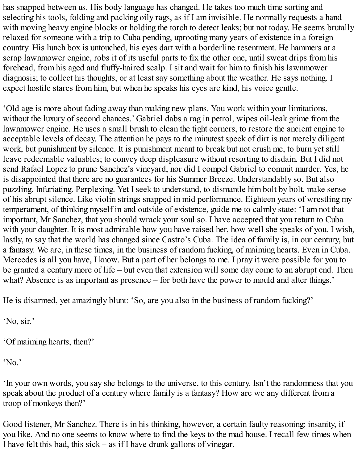has snapped between us. His body language has changed. He takes too much time sorting and selecting his tools, folding and packing oily rags, as if I am invisible. He normally requests a hand with moving heavy engine blocks or holding the torch to detect leaks; but not today. He seems brutally relaxed for someone with a trip to Cuba pending, uprooting many years of existence in a foreign country. His lunch box is untouched, his eyes dart with a borderline resentment. He hammers at a scrap lawnmower engine, robs it of its useful parts to fix the other one, until sweat drips from his forehead, from his aged and fluffy-haired scalp. I sit and wait for him to finish his lawnmower diagnosis; to collect his thoughts, or at least say something about the weather. He says nothing. I expect hostile stares from him, but when he speaks his eyes are kind, his voice gentle.

'Old age is more about fading away than making new plans. You work within your limitations, without the luxury of second chances.' Gabriel dabs a rag in petrol, wipes oil-leak grime from the lawnmower engine. He uses a small brush to clean the tight corners, to restore the ancient engine to acceptable levels of decay. The attention he pays to the minutest speck of dirt is not merely diligent work, but punishment by silence. It is punishment meant to break but not crush me, to burn yet still leave redeemable valuables; to convey deep displeasure without resorting to disdain. But I did not send Rafael Lopez to prune Sanchez's vineyard, nor did I compel Gabriel to commit murder. Yes, he is disappointed that there are no guarantees for his Summer Breeze. Understandably so. But also puzzling. Infuriating. Perplexing. Yet I seek to understand, to dismantle him bolt by bolt, make sense of his abrupt silence. Like violin strings snapped in mid performance. Eighteen years of wrestling my temperament, of thinking myself in and outside of existence, guide me to calmly state: 'I am not that important, Mr Sanchez, that you should wrack your soul so. I have accepted that you return to Cuba with your daughter. It is most admirable how you have raised her, how well she speaks of you. I wish, lastly, to say that the world has changed since Castro's Cuba. The idea of family is, in our century, but a fantasy. We are, in these times, in the business of random fucking, of maiming hearts. Even in Cuba. Mercedes is all you have, I know. But a part of her belongs to me. I pray it were possible for you to be granted a century more of life – but even that extension will some day come to an abrupt end. Then what? Absence is as important as presence – for both have the power to mould and alter things.'

He is disarmed, yet amazingly blunt: 'So, are you also in the business of random fucking?'

'No, sir.'

'Of maiming hearts, then?'

'No.'

'In your own words, you say she belongs to the universe, to this century. Isn't the randomness that you speak about the product of a century where family is a fantasy? How are we any different from a troop of monkeys then?'

Good listener, Mr Sanchez. There is in his thinking, however, a certain faulty reasoning; insanity, if you like. And no one seems to know where to find the keys to the mad house. I recall few times when I have felt this bad, this sick – as if I have drunk gallons of vinegar.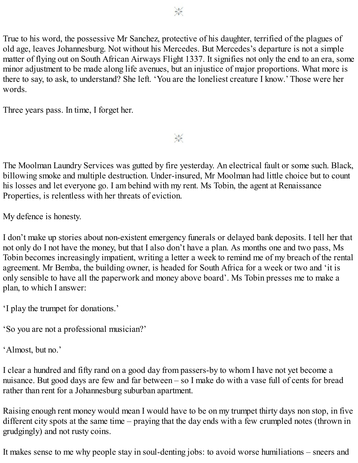True to his word, the possessive Mr Sanchez, protective of his daughter, terrified of the plagues of old age, leaves Johannesburg. Not without his Mercedes. But Mercedes's departure is not a simple matter of flying out on South African Airways Flight 1337. It signifies not only the end to an era, some minor adjustment to be made along life avenues, but an injustice of major proportions. What more is there to say, to ask, to understand? She left. 'You are the loneliest creature I know.' Those were her words.

Three years pass. In time, I forget her.

The Moolman Laundry Services was gutted by fire yesterday. An electrical fault or some such. Black, billowing smoke and multiple destruction. Under-insured, Mr Moolman had little choice but to count his losses and let everyone go. I am behind with my rent. Ms Tobin, the agent at Renaissance Properties, is relentless with her threats of eviction.

 $\frac{1}{2}$ 

My defence is honesty.

I don't make up stories about non-existent emergency funerals or delayed bank deposits. I tell her that not only do I not have the money, but that I also don't have a plan. As months one and two pass, Ms Tobin becomes increasingly impatient, writing a letter a week to remind me of my breach of the rental agreement. Mr Bemba, the building owner, is headed for South Africa for a week or two and 'it is only sensible to have all the paperwork and money above board'. Ms Tobin presses me to make a plan, to which I answer:

'I play the trumpet for donations.'

'So you are not a professional musician?'

'Almost, but no.'

I clear a hundred and fifty rand on a good day from passers-by to whom I have not yet become a nuisance. But good days are few and far between – so I make do with a vase full of cents for bread rather than rent for a Johannesburg suburban apartment.

Raising enough rent money would mean I would have to be on my trumpet thirty days non stop, in five different city spots at the same time – praying that the day ends with a few crumpled notes (thrown in grudgingly) and not rusty coins.

It makes sense to me why people stay in soul-denting jobs: to avoid worse humiliations – sneers and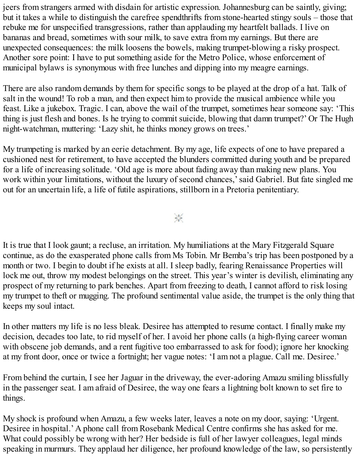jeers from strangers armed with disdain for artistic expression. Johannesburg can be saintly, giving; but it takes a while to distinguish the carefree spendthrifts from stone-hearted stingy souls – those that rebuke me for unspecified transgressions, rather than applauding my heartfelt ballads. I live on bananas and bread, sometimes with sour milk, to save extra from my earnings. But there are unexpected consequences: the milk loosens the bowels, making trumpet-blowing a risky prospect. Another sore point: I have to put something aside for the Metro Police, whose enforcement of municipal bylaws is synonymous with free lunches and dipping into my meagre earnings.

There are also random demands by them for specific songs to be played at the drop of a hat. Talk of salt in the wound! To rob a man, and then expect him to provide the musical ambience while you feast. Like a jukebox. Tragic. I can, above the wail of the trumpet, sometimes hear someone say: 'This thing is just flesh and bones. Is he trying to commit suicide, blowing that damn trumpet?' Or The Hugh night-watchman, muttering: 'Lazy shit, he thinks money grows on trees.'

My trumpeting is marked by an eerie detachment. By my age, life expects of one to have prepared a cushioned nest for retirement, to have accepted the blunders committed during youth and be prepared for a life of increasing solitude. 'Old age is more about fading away than making new plans. You work within your limitations, without the luxury of second chances,'said Gabriel. But fate singled me out for an uncertain life, a life of futile aspirations, stillborn in a Pretoria penitentiary.

 $\frac{1}{2}$ 

It is true that I look gaunt; a recluse, an irritation. My humiliations at the Mary Fitzgerald Square continue, as do the exasperated phone calls from Ms Tobin. Mr Bemba's trip has been postponed by a month or two. I begin to doubt if he exists at all. I sleep badly, fearing Renaissance Properties will lock me out, throw my modest belongings on the street. This year's winter is devilish, eliminating any prospect of my returning to park benches. Apart from freezing to death, I cannot afford to risk losing my trumpet to theft or mugging. The profound sentimental value aside, the trumpet is the only thing that keeps my soul intact.

In other matters my life is no less bleak. Desiree has attempted to resume contact. I finally make my decision, decades too late, to rid myself of her. I avoid her phone calls (a high-flying career woman with obscene job demands, and a rent fugitive too embarrassed to ask for food); ignore her knocking at my front door, once or twice a fortnight; her vague notes: 'I am not a plague. Call me. Desiree.'

From behind the curtain, I see her Jaguar in the driveway, the ever-adoring Amazu smiling blissfully in the passenger seat. I am afraid of Desiree, the way one fears a lightning bolt known to set fire to things.

My shock is profound when Amazu, a few weeks later, leaves a note on my door, saying: 'Urgent. Desiree in hospital.' A phone call from Rosebank Medical Centre confirms she has asked for me. What could possibly be wrong with her? Her bedside is full of her lawyer colleagues, legal minds speaking in murmurs. They applaud her diligence, her profound knowledge of the law, so persistently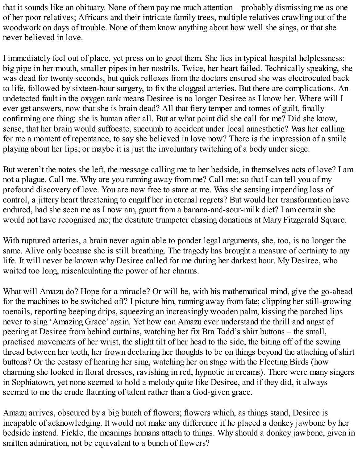that it sounds like an obituary. None of them pay me much attention – probably dismissing me as one of her poor relatives; Africans and their intricate family trees, multiple relatives crawling out of the woodwork on days of trouble. None of them know anything about how well she sings, or that she never believed in love.

I immediately feel out of place, yet press on to greet them. She lies in typical hospital helplessness: big pipe in her mouth, smaller pipes in her nostrils. Twice, her heart failed. Technically speaking, she was dead for twenty seconds, but quick reflexes from the doctors ensured she was electrocuted back to life, followed by sixteen-hour surgery, to fix the clogged arteries. But there are complications. An undetected fault in the oxygen tank means Desiree is no longer Desiree as I know her. Where will I ever get answers, now that she is brain dead? All that fiery temper and tonnes of guilt, finally confirming one thing: she is human after all. But at what point did she call for me? Did she know, sense, that her brain would suffocate, succumb to accident under local anaesthetic? Was her calling for me a moment of repentance, to say she believed in love now? There is the impression of a smile playing about her lips; or maybe it is just the involuntary twitching of a body under siege.

But weren't the notes she left, the message calling me to her bedside, in themselves acts of love? I am not a plague. Call me. Why are you running away from me? Call me: so that I can tell you of my profound discovery of love. You are now free to stare at me. Was she sensing impending loss of control, a jittery heart threatening to engulf her in eternal regrets? But would her transformation have endured, had she seen me as I now am, gaunt from a banana-and-sour-milk diet? I am certain she would not have recognised me; the destitute trumpeter chasing donations at Mary Fitzgerald Square.

With ruptured arteries, a brain never again able to ponder legal arguments, she, too, is no longer the same. Alive only because she is still breathing. The tragedy has brought a measure of certainty to my life. It will never be known why Desiree called for me during her darkest hour. My Desiree, who waited too long, miscalculating the power of her charms.

What will Amazu do? Hope for a miracle? Or will he, with his mathematical mind, give the go-ahead for the machines to be switched off? I picture him, running away from fate; clipping her still-growing toenails, reporting beeping drips, squeezing an increasingly wooden palm, kissing the parched lips never to sing 'Amazing Grace' again. Yet how can Amazu ever understand the thrill and angst of peering at Desiree from behind curtains, watching her fix Bra Todd's shirt buttons – the small, practised movements of her wrist, the slight tilt of her head to the side, the biting off of the sewing thread between her teeth, her frown declaring her thoughts to be on things beyond the attaching of shirt buttons? Or the ecstasy of hearing her sing, watching her on stage with the Fleeting Birds (how charming she looked in floral dresses, ravishing in red, hypnotic in creams). There were many singers in Sophiatown, yet none seemed to hold a melody quite like Desiree, and if they did, it always seemed to me the crude flaunting of talent rather than a God-given grace.

Amazu arrives, obscured by a big bunch of flowers; flowers which, as things stand, Desiree is incapable of acknowledging. It would not make any difference if he placed a donkey jawbone by her bedside instead. Fickle, the meanings humans attach to things. Why should a donkey jawbone, given in smitten admiration, not be equivalent to a bunch of flowers?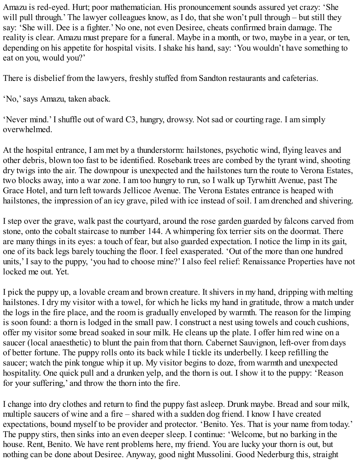Amazu is red-eyed. Hurt; poor mathematician. His pronouncement sounds assured yet crazy: 'She will pull through.' The lawyer colleagues know, as I do, that she won't pull through – but still they say: 'She will. Dee is a fighter.' No one, not even Desiree, cheats confirmed brain damage. The reality is clear. Amazu must prepare for a funeral. Maybe in a month, or two, maybe in a year, or ten, depending on his appetite for hospital visits. I shake his hand, say: 'You wouldn't have something to eat on you, would you?'

There is disbelief from the lawyers, freshly stuffed from Sandton restaurants and cafeterias.

'No,'says Amazu, taken aback.

'Never mind.' I shuffle out of ward C3, hungry, drowsy. Not sad or courting rage. I am simply overwhelmed.

At the hospital entrance, I am met by a thunderstorm: hailstones, psychotic wind, flying leaves and other debris, blown too fast to be identified. Rosebank trees are combed by the tyrant wind, shooting dry twigs into the air. The downpour is unexpected and the hailstones turn the route to Verona Estates, two blocks away, into a war zone. I am too hungry to run, so I walk up Tyrwhitt Avenue, past The Grace Hotel, and turn left towards Jellicoe Avenue. The Verona Estates entrance is heaped with hailstones, the impression of an icy grave, piled with ice instead of soil. I am drenched and shivering.

I step over the grave, walk past the courtyard, around the rose garden guarded by falcons carved from stone, onto the cobalt staircase to number 144. A whimpering fox terrier sits on the doormat. There are many things in its eyes: a touch of fear, but also guarded expectation. I notice the limp in its gait, one of its back legs barely touching the floor. I feel exasperated. 'Out of the more than one hundred units,' I say to the puppy, 'you had to choose mine?' I also feel relief: Renaissance Properties have not locked me out. Yet.

I pick the puppy up, a lovable cream and brown creature. It shivers in my hand, dripping with melting hailstones. I dry my visitor with a towel, for which he licks my hand in gratitude, throw a match under the logs in the fire place, and the room is gradually enveloped by warmth. The reason for the limping is soon found: a thorn is lodged in the small paw. I construct a nest using towels and couch cushions, offer my visitor some bread soaked in sour milk. He cleans up the plate. I offer him red wine on a saucer (local anaesthetic) to blunt the pain from that thorn. Cabernet Sauvignon, left-over from days of better fortune. The puppy rolls onto its back while I tickle its underbelly. I keep refilling the saucer; watch the pink tongue whip it up. My visitor begins to doze, from warmth and unexpected hospitality. One quick pull and a drunken yelp, and the thorn is out. I show it to the puppy: 'Reason for your suffering,' and throw the thorn into the fire.

I change into dry clothes and return to find the puppy fast asleep. Drunk maybe. Bread and sour milk, multiple saucers of wine and a fire – shared with a sudden dog friend. I know I have created expectations, bound myself to be provider and protector. 'Benito. Yes. That is your name from today.' The puppy stirs, then sinks into an even deeper sleep. I continue: 'Welcome, but no barking in the house. Rent, Benito. We have rent problems here, my friend. You are lucky your thorn is out, but nothing can be done about Desiree. Anyway, good night Mussolini. Good Nederburg this, straight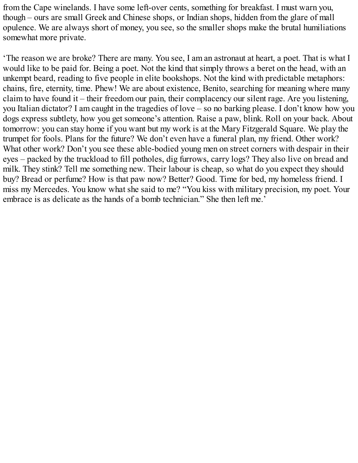from the Cape winelands. I have some left-over cents, something for breakfast. I must warn you, though – ours are small Greek and Chinese shops, or Indian shops, hidden from the glare of mall opulence. We are always short of money, you see, so the smaller shops make the brutal humiliations somewhat more private.

'The reason we are broke? There are many. You see, I am an astronaut at heart, a poet. That is what I would like to be paid for. Being a poet. Not the kind that simply throws a beret on the head, with an unkempt beard, reading to five people in elite bookshops. Not the kind with predictable metaphors: chains, fire, eternity, time. Phew! We are about existence, Benito, searching for meaning where many claim to have found it – their freedom our pain, their complacency our silent rage. Are you listening, you Italian dictator? I am caught in the tragedies of love – so no barking please. I don't know how you dogs express subtlety, how you get someone's attention. Raise a paw, blink. Roll on your back. About tomorrow: you can stay home if you want but my work is at the Mary Fitzgerald Square. We play the trumpet for fools. Plans for the future? We don't even have a funeral plan, my friend. Other work? What other work? Don't you see these able-bodied young men on street corners with despair in their eyes – packed by the truckload to fill potholes, dig furrows, carry logs? They also live on bread and milk. They stink? Tell me something new. Their labour is cheap, so what do you expect they should buy? Bread or perfume? How is that paw now? Better? Good. Time for bed, my homeless friend. I miss my Mercedes. You know what she said to me? "You kiss with military precision, my poet. Your embrace is as delicate as the hands of a bomb technician." She then left me.'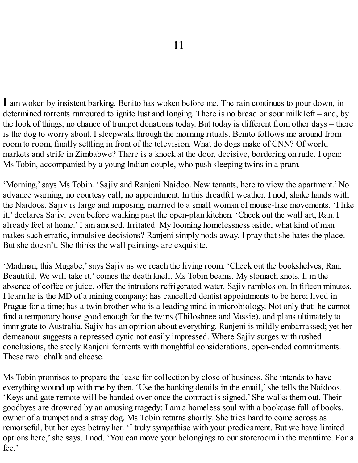**I** am woken by insistent barking. Benito has woken before me. The rain continues to pour down, in determined torrents rumoured to ignite lust and longing. There is no bread or sour milk left – and, by the look of things, no chance of trumpet donations today. But today is different from other days – there is the dog to worry about. I sleepwalk through the morning rituals. Benito follows me around from room to room, finally settling in front of the television. What do dogs make of CNN? Of world markets and strife in Zimbabwe? There is a knock at the door, decisive, bordering on rude. I open: Ms Tobin, accompanied by a young Indian couple, who push sleeping twins in a pram.

'Morning,'says Ms Tobin. 'Sajiv and Ranjeni Naidoo. New tenants, here to view the apartment.' No advance warning, no courtesy call, no appointment. In this dreadful weather. I nod, shake hands with the Naidoos. Sajiv is large and imposing, married to a small woman of mouse-like movements. 'I like it,' declares Sajiv, even before walking past the open-plan kitchen. 'Check out the wall art, Ran. I already feel at home.' I am amused. Irritated. My looming homelessness aside, what kind of man makes such erratic, impulsive decisions? Ranjeni simply nods away. I pray that she hates the place. But she doesn't. She thinks the wall paintings are exquisite.

'Madman, this Mugabe,'says Sajiv as we reach the living room. 'Check out the bookshelves, Ran. Beautiful. We will take it,' comes the death knell. Ms Tobin beams. My stomach knots. I, in the absence of coffee or juice, offer the intruders refrigerated water. Sajiv rambles on. In fifteen minutes, I learn he is the MD of a mining company; has cancelled dentist appointments to be here; lived in Prague for a time; has a twin brother who is a leading mind in microbiology. Not only that: he cannot find a temporary house good enough for the twins (Thiloshnee and Vassie), and plans ultimately to immigrate to Australia. Sajiv has an opinion about everything. Ranjeni is mildly embarrassed; yet her demeanour suggests a repressed cynic not easily impressed. Where Sajiv surges with rushed conclusions, the steely Ranjeni ferments with thoughtful considerations, open-ended commitments. These two: chalk and cheese.

Ms Tobin promises to prepare the lease for collection by close of business. She intends to have everything wound up with me by then. 'Use the banking details in the email,' she tells the Naidoos. 'Keys and gate remote will be handed over once the contract is signed.' She walks them out. Their goodbyes are drowned by an amusing tragedy: I am a homeless soul with a bookcase full of books, owner of a trumpet and a stray dog. Ms Tobin returns shortly. She tries hard to come across as remorseful, but her eyes betray her. 'I truly sympathise with your predicament. But we have limited options here,'she says. I nod. 'You can move your belongings to our storeroom in the meantime. For a fee.'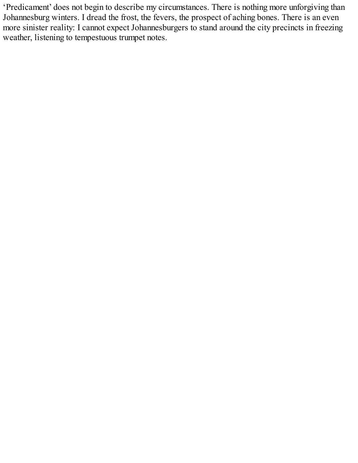'Predicament' does not begin to describe my circumstances. There is nothing more unforgiving than Johannesburg winters. I dread the frost, the fevers, the prospect of aching bones. There is an even more sinister reality: I cannot expect Johannesburgers to stand around the city precincts in freezing weather, listening to tempestuous trumpet notes.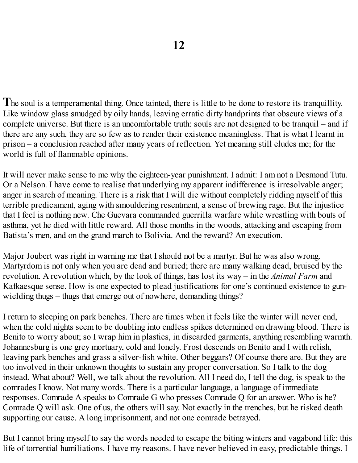The soul is a temperamental thing. Once tainted, there is little to be done to restore its tranquillity. Like window glass smudged by oily hands, leaving erratic dirty handprints that obscure views of a complete universe. But there is an uncomfortable truth: souls are not designed to be tranquil – and if there are any such, they are so few as to render their existence meaningless. That is what I learnt in prison – a conclusion reached after many years of reflection. Yet meaning still eludes me; for the world is full of flammable opinions.

It will never make sense to me why the eighteen-year punishment. I admit: I am not a Desmond Tutu. Or a Nelson. I have come to realise that underlying my apparent indifference is irresolvable anger; anger in search of meaning. There is a risk that I will die without completely ridding myself of this terrible predicament, aging with smouldering resentment, a sense of brewing rage. But the injustice that I feel is nothing new. Che Guevara commanded guerrilla warfare while wrestling with bouts of asthma, yet he died with little reward. All those months in the woods, attacking and escaping from Batista's men, and on the grand march to Bolivia. And the reward? An execution.

Major Joubert was right in warning me that I should not be a martyr. But he was also wrong. Martyrdom is not only when you are dead and buried; there are many walking dead, bruised by the revolution. A revolution which, by the look of things, has lost its way – in the *Animal Farm* and Kafkaesque sense. How is one expected to plead justifications for one's continued existence to gunwielding thugs – thugs that emerge out of nowhere, demanding things?

I return to sleeping on park benches. There are times when it feels like the winter will never end, when the cold nights seem to be doubling into endless spikes determined on drawing blood. There is Benito to worry about; so I wrap him in plastics, in discarded garments, anything resembling warmth. Johannesburg is one grey mortuary, cold and lonely. Frost descends on Benito and I with relish, leaving park benches and grass a silver-fish white. Other beggars? Of course there are. But they are too involved in their unknown thoughts to sustain any proper conversation. So I talk to the dog instead. What about? Well, we talk about the revolution. All I need do, I tell the dog, is speak to the comrades I know. Not many words. There is a particular language, a language of immediate responses. Comrade A speaks to Comrade G who presses Comrade Q for an answer. Who is he? Comrade Q will ask. One of us, the others will say. Not exactly in the trenches, but he risked death supporting our cause. A long imprisonment, and not one comrade betrayed.

But I cannot bring myself to say the words needed to escape the biting winters and vagabond life; this life of torrential humiliations. I have my reasons. I have never believed in easy, predictable things. I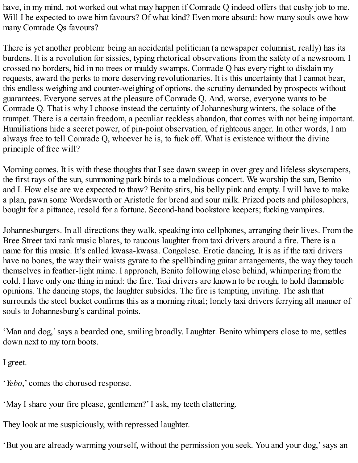have, in my mind, not worked out what may happen if Comrade Q indeed offers that cushy job to me. Will I be expected to owe him favours? Of what kind? Even more absurd: how many souls owe how many Comrade Qs favours?

There is yet another problem: being an accidental politician (a newspaper columnist, really) has its burdens. It is a revolution for sissies, typing rhetorical observations from the safety of a newsroom. I crossed no borders, hid in no trees or muddy swamps. Comrade Q has every right to disdain my requests, award the perks to more deserving revolutionaries. It is this uncertainty that I cannot bear, this endless weighing and counter-weighing of options, the scrutiny demanded by prospects without guarantees. Everyone serves at the pleasure of Comrade Q. And, worse, everyone wants to be Comrade Q. That is why I choose instead the certainty of Johannesburg winters, the solace of the trumpet. There is a certain freedom, a peculiar reckless abandon, that comes with not being important. Humiliations hide a secret power, of pin-point observation, of righteous anger. In other words, I am always free to tell Comrade Q, whoever he is, to fuck off. What is existence without the divine principle of free will?

Morning comes. It is with these thoughts that I see dawn sweep in over grey and lifeless skyscrapers, the first rays of the sun, summoning park birds to a melodious concert. We worship the sun, Benito and I. How else are we expected to thaw? Benito stirs, his belly pink and empty. I will have to make a plan, pawn some Wordsworth or Aristotle for bread and sour milk. Prized poets and philosophers, bought for a pittance, resold for a fortune. Second-hand bookstore keepers; fucking vampires.

Johannesburgers. In all directions they walk, speaking into cellphones, arranging their lives. From the Bree Street taxi rank music blares, to raucous laughter from taxi drivers around a fire. There is a name for this music. It's called kwasa-kwasa. Congolese. Erotic dancing. It is as if the taxi drivers have no bones, the way their waists gyrate to the spellbinding guitar arrangements, the way they touch themselves in feather-light mime. I approach, Benito following close behind, whimpering from the cold. I have only one thing in mind: the fire. Taxi drivers are known to be rough, to hold flammable opinions. The dancing stops, the laughter subsides. The fire is tempting, inviting. The ash that surrounds the steel bucket confirms this as a morning ritual; lonely taxi drivers ferrying all manner of souls to Johannesburg's cardinal points.

'Man and dog,'says a bearded one, smiling broadly. Laughter. Benito whimpers close to me, settles down next to my torn boots.

I greet.

'*Yebo*,' comes the chorused response.

'May I share your fire please, gentlemen?' I ask, my teeth clattering.

They look at me suspiciously, with repressed laughter.

'But you are already warming yourself, without the permission you seek. You and your dog,'says an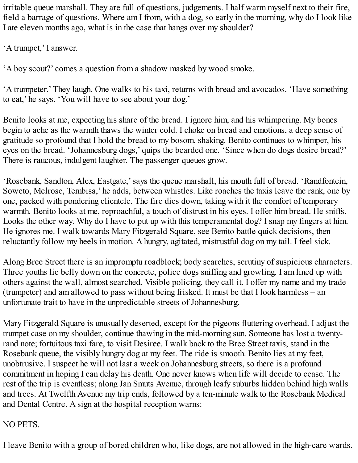irritable queue marshall. They are full of questions, judgements. I half warm myself next to their fire, field a barrage of questions. Where am I from, with a dog, so early in the morning, why do I look like I ate eleven months ago, what is in the case that hangs over my shoulder?

'A trumpet,' I answer.

'A boy scout?' comes a question from a shadow masked by wood smoke.

'A trumpeter.' They laugh. One walks to his taxi, returns with bread and avocados. 'Have something to eat,' he says. 'You will have to see about your dog.'

Benito looks at me, expecting his share of the bread. I ignore him, and his whimpering. My bones begin to ache as the warmth thaws the winter cold. I choke on bread and emotions, a deep sense of gratitude so profound that I hold the bread to my bosom, shaking. Benito continues to whimper, his eyes on the bread. 'Johannesburg dogs,' quips the bearded one. 'Since when do dogs desire bread?' There is raucous, indulgent laughter. The passenger queues grow.

'Rosebank, Sandton, Alex, Eastgate,'says the queue marshall, his mouth full of bread. 'Randfontein, Soweto, Melrose, Tembisa,' he adds, between whistles. Like roaches the taxis leave the rank, one by one, packed with pondering clientele. The fire dies down, taking with it the comfort of temporary warmth. Benito looks at me, reproachful, a touch of distrust in his eyes. I offer him bread. He sniffs. Looks the other way. Why do I have to put up with this temperamental dog? I snap my fingers at him. He ignores me. I walk towards Mary Fitzgerald Square, see Benito battle quick decisions, then reluctantly follow my heels in motion. A hungry, agitated, mistrustful dog on my tail. I feel sick.

Along Bree Street there is an impromptu roadblock; body searches, scrutiny of suspicious characters. Three youths lie belly down on the concrete, police dogs sniffing and growling. I am lined up with others against the wall, almost searched. Visible policing, they call it. I offer my name and my trade (trumpeter) and am allowed to pass without being frisked. It must be that I look harmless – an unfortunate trait to have in the unpredictable streets of Johannesburg.

Mary Fitzgerald Square is unusually deserted, except for the pigeons fluttering overhead. I adjust the trumpet case on my shoulder, continue thawing in the mid-morning sun. Someone has lost a twentyrand note; fortuitous taxi fare, to visit Desiree. I walk back to the Bree Street taxis, stand in the Rosebank queue, the visibly hungry dog at my feet. The ride is smooth. Benito lies at my feet, unobtrusive. I suspect he will not last a week on Johannesburg streets, so there is a profound commitment in hoping I can delay his death. One never knows when life will decide to cease. The rest of the trip is eventless; along Jan Smuts Avenue, through leafy suburbs hidden behind high walls and trees. At Twelfth Avenue my trip ends, followed by a ten-minute walk to the Rosebank Medical and Dental Centre. A sign at the hospital reception warns:

### NO PETS.

I leave Benito with a group of bored children who, like dogs, are not allowed in the high-care wards.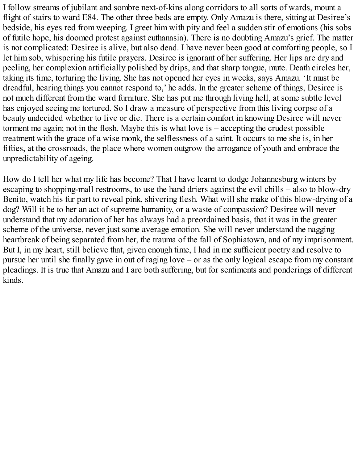I follow streams of jubilant and sombre next-of-kins along corridors to all sorts of wards, mount a flight of stairs to ward E84. The other three beds are empty. Only Amazu is there, sitting at Desiree's bedside, his eyes red from weeping. I greet him with pity and feel a sudden stir of emotions (his sobs of futile hope, his doomed protest against euthanasia). There is no doubting Amazu's grief. The matter is not complicated: Desiree is alive, but also dead. I have never been good at comforting people, so I let him sob, whispering his futile prayers. Desiree is ignorant of her suffering. Her lips are dry and peeling, her complexion artificially polished by drips, and that sharp tongue, mute. Death circles her, taking its time, torturing the living. She has not opened her eyes in weeks, says Amazu. 'It must be dreadful, hearing things you cannot respond to,' he adds. In the greater scheme of things, Desiree is not much different from the ward furniture. She has put me through living hell, at some subtle level has enjoyed seeing me tortured. So I draw a measure of perspective from this living corpse of a beauty undecided whether to live or die. There is a certain comfort in knowing Desiree will never torment me again; not in the flesh. Maybe this is what love is – accepting the crudest possible treatment with the grace of a wise monk, the selflessness of a saint. It occurs to me she is, in her fifties, at the crossroads, the place where women outgrow the arrogance of youth and embrace the unpredictability of ageing.

How do I tell her what my life has become? That I have learnt to dodge Johannesburg winters by escaping to shopping-mall restrooms, to use the hand driers against the evil chills – also to blow-dry Benito, watch his fur part to reveal pink, shivering flesh. What will she make of this blow-drying of a dog? Will it be to her an act of supreme humanity, or a waste of compassion? Desiree will never understand that my adoration of her has always had a preordained basis, that it was in the greater scheme of the universe, never just some average emotion. She will never understand the nagging heartbreak of being separated from her, the trauma of the fall of Sophiatown, and of my imprisonment. But I, in my heart, still believe that, given enough time, I had in me sufficient poetry and resolve to pursue her until she finally gave in out of raging love – or as the only logical escape from my constant pleadings. It is true that Amazu and I are both suffering, but for sentiments and ponderings of different kinds.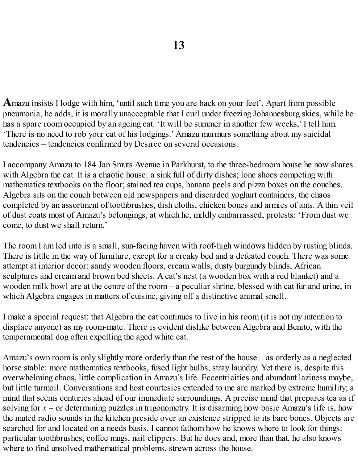**A**mazu insists I lodge with him, 'until such time you are back on your feet'. Apart from possible pneumonia, he adds, it is morally unacceptable that I curl under freezing Johannesburg skies, while he has a spare room occupied by an ageing cat. 'It will be summer in another few weeks,' I tell him. 'There is no need to rob your cat of his lodgings.' Amazu murmurs something about my suicidal tendencies – tendencies confirmed by Desiree on several occasions.

I accompany Amazu to 184 Jan Smuts Avenue in Parkhurst, to the three-bedroom house he now shares with Algebra the cat. It is a chaotic house: a sink full of dirty dishes; lone shoes competing with mathematics textbooks on the floor; stained tea cups, banana peels and pizza boxes on the couches. Algebra sits on the couch between old newspapers and discarded yoghurt containers, the chaos completed by an assortment of toothbrushes, dish cloths, chicken bones and armies of ants. A thin veil of dust coats most of Amazu's belongings, at which he, mildly embarrassed, protests: 'From dust we come, to dust we shall return.'

The room I am led into is a small, sun-facing haven with roof-high windows hidden by rusting blinds. There is little in the way of furniture, except for a creaky bed and a defeated couch. There was some attempt at interior decor: sandy wooden floors, cream walls, dusty burgundy blinds, African sculptures and cream and brown bed sheets. A cat's nest (a wooden box with a red blanket) and a wooden milk bowl are at the centre of the room – a peculiar shrine, blessed with cat fur and urine, in which Algebra engages in matters of cuisine, giving off a distinctive animal smell.

I make a special request: that Algebra the cat continues to live in his room (it is not my intention to displace anyone) as my room-mate. There is evident dislike between Algebra and Benito, with the temperamental dog often expelling the aged white cat.

Amazu's own room is only slightly more orderly than the rest of the house – as orderly as a neglected horse stable: more mathematics textbooks, fused light bulbs, stray laundry. Yet there is, despite this overwhelming chaos, little complication in Amazu's life. Eccentricities and abundant laziness maybe, but little turmoil. Conversations and host courtesies extended to me are marked by extreme humility; a mind that seems centuries ahead of our immediate surroundings. A precise mind that prepares tea as if solving for  $x$  – or determining puzzles in trigonometry. It is disarming how basic Amazu's life is, how the muted radio sounds in the kitchen preside over an existence stripped to its bare bones. Objects are searched for and located on a needs basis. I cannot fathom how he knows where to look for things: particular toothbrushes, coffee mugs, nail clippers. But he does and, more than that, he also knows where to find unsolved mathematical problems, strewn across the house.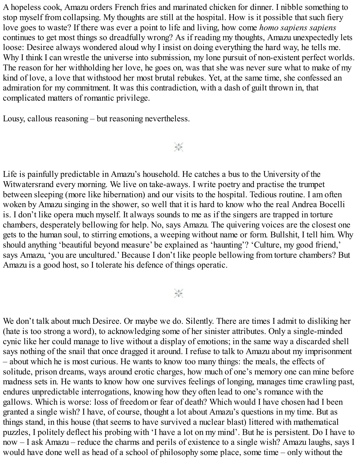A hopeless cook, Amazu orders French fries and marinated chicken for dinner. I nibble something to stop myself from collapsing. My thoughts are still at the hospital. How is it possible that such fiery love goes to waste? If there was ever a point to life and living, how come *homo sapiens sapiens* continues to get most things so dreadfully wrong? As if reading my thoughts, Amazu unexpectedly lets loose: Desiree always wondered aloud why I insist on doing everything the hard way, he tells me. Why I think I can wrestle the universe into submission, my lone pursuit of non-existent perfect worlds. The reason for her withholding her love, he goes on, was that she was never sure what to make of my kind of love, a love that withstood her most brutal rebukes. Yet, at the same time, she confessed an admiration for my commitment. It was this contradiction, with a dash of guilt thrown in, that complicated matters of romantic privilege.

Lousy, callous reasoning – but reasoning nevertheless.

崇

Life is painfully predictable in Amazu's household. He catches a bus to the University of the Witwatersrand every morning. We live on take-aways. I write poetry and practise the trumpet between sleeping (more like hibernation) and our visits to the hospital. Tedious routine. I am often woken by Amazu singing in the shower, so well that it is hard to know who the real Andrea Bocelli is. I don't like opera much myself. It always sounds to me as if the singers are trapped in torture chambers, desperately bellowing for help. No, says Amazu. The quivering voices are the closest one gets to the human soul, to stirring emotions, a weeping without name or form. Bullshit, I tell him. Why should anything 'beautiful beyond measure' be explained as 'haunting'? 'Culture, my good friend,' says Amazu, 'you are uncultured.' Because I don't like people bellowing from torture chambers? But Amazu is a good host, so I tolerate his defence of things operatic.

#### $\frac{1}{2}$

We don't talk about much Desiree. Or maybe we do. Silently. There are times I admit to disliking her (hate is too strong a word), to acknowledging some of her sinister attributes. Only a single-minded cynic like her could manage to live without a display of emotions; in the same way a discarded shell says nothing of the snail that once dragged it around. I refuse to talk to Amazu about my imprisonment – about which he is most curious. He wants to know too many things: the meals, the effects of solitude, prison dreams, ways around erotic charges, how much of one's memory one can mine before madness sets in. He wants to know how one survives feelings of longing, manages time crawling past, endures unpredictable interrogations, knowing how they often lead to one's romance with the gallows. Which is worse: loss of freedom or fear of death? Which would I have chosen had I been granted a single wish? I have, of course, thought a lot about Amazu's questions in my time. But as things stand, in this house (that seems to have survived a nuclear blast) littered with mathematical puzzles, I politely deflect his probing with 'I have a lot on my mind'. But he is persistent. Do I have to now – I ask Amazu – reduce the charms and perils of existence to a single wish? Amazu laughs, says I would have done well as head of a school of philosophy some place, some time – only without the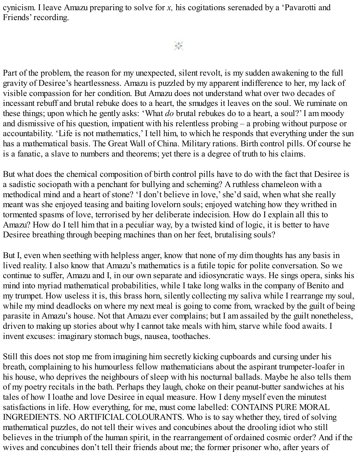cynicism. I leave Amazu preparing to solve for *x,* his cogitations serenaded by a 'Pavarotti and Friends' recording.

## $\frac{1}{2}$

Part of the problem, the reason for my unexpected, silent revolt, is my sudden awakening to the full gravity of Desiree's heartlessness. Amazu is puzzled by my apparent indifference to her, my lack of visible compassion for her condition. But Amazu does not understand what over two decades of incessant rebuff and brutal rebuke does to a heart, the smudges it leaves on the soul. We ruminate on these things; upon which he gently asks: 'What *do* brutal rebukes do to a heart, a soul?' I am moody and dismissive of his question, impatient with his relentless probing – a probing without purpose or accountability. 'Life is not mathematics,' I tell him, to which he responds that everything under the sun has a mathematical basis. The Great Wall of China. Military rations. Birth control pills. Of course he is a fanatic, a slave to numbers and theorems; yet there is a degree of truth to his claims.

But what does the chemical composition of birth control pills have to do with the fact that Desiree is a sadistic sociopath with a penchant for bullying and scheming? A ruthless chameleon with a methodical mind and a heart of stone? 'I don't believe in love,'she'd said, when what she really meant was she enjoyed teasing and baiting lovelorn souls; enjoyed watching how they writhed in tormented spasms of love, terrorised by her deliberate indecision. How do I explain all this to Amazu? How do I tell him that in a peculiar way, by a twisted kind of logic, it is better to have Desiree breathing through beeping machines than on her feet, brutalising souls?

But I, even when seething with helpless anger, know that none of my dim thoughts has any basis in lived reality. I also know that Amazu's mathematics is a futile topic for polite conversation. So we continue to suffer, Amazu and I, in our own separate and idiosyncratic ways. He sings opera, sinks his mind into myriad mathematical probabilities, while I take long walks in the company of Benito and my trumpet. How useless it is, this brass horn, silently collecting my saliva while I rearrange my soul, while my mind deadlocks on where my next meal is going to come from, wracked by the guilt of being parasite in Amazu's house. Not that Amazu ever complains; but I am assailed by the guilt nonetheless, driven to making up stories about why I cannot take meals with him, starve while food awaits. I invent excuses: imaginary stomach bugs, nausea, toothaches.

Still this does not stop me from imagining him secretly kicking cupboards and cursing under his breath, complaining to his humourless fellow mathematicians about the aspirant trumpeter-loafer in his house, who deprives the neighbours of sleep with his nocturnal ballads. Maybe he also tells them of my poetry recitals in the bath. Perhaps they laugh, choke on their peanut-butter sandwiches at his tales of how I loathe and love Desiree in equal measure. How I deny myself even the minutest satisfactions in life. How everything, for me, must come labelled: CONTAINS PURE MORAL INGREDIENTS. NO ARTIFICIALCOLOURANTS. Who is to say whether they, tired of solving mathematical puzzles, do not tell their wives and concubines about the drooling idiot who still believes in the triumph of the human spirit, in the rearrangement of ordained cosmic order? And if the wives and concubines don't tell their friends about me; the former prisoner who, after years of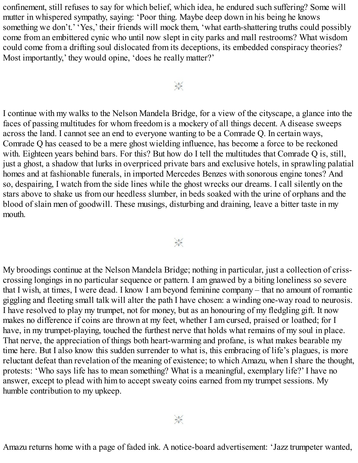confinement, still refuses to say for which belief, which idea, he endured such suffering? Some will mutter in whispered sympathy, saying: 'Poor thing. Maybe deep down in his being he knows something we don't.' 'Yes,' their friends will mock them, 'what earth-shattering truths could possibly come from an embittered cynic who until now slept in city parks and mall restrooms? What wisdom could come from a drifting soul dislocated from its deceptions, its embedded conspiracy theories? Most importantly,' they would opine, 'does he really matter?'

 $\frac{1}{2}$ 

I continue with my walks to the Nelson Mandela Bridge, for a view of the cityscape, a glance into the faces of passing multitudes for whom freedom is a mockery of all things decent. A disease sweeps across the land. I cannot see an end to everyone wanting to be a Comrade Q. In certain ways, Comrade Q has ceased to be a mere ghost wielding influence, has become a force to be reckoned with. Eighteen years behind bars. For this? But how do I tell the multitudes that Comrade Q is, still, just a ghost, a shadow that lurks in overpriced private bars and exclusive hotels, in sprawling palatial homes and at fashionable funerals, in imported Mercedes Benzes with sonorous engine tones? And so, despairing, I watch from the side lines while the ghost wrecks our dreams. I call silently on the stars above to shake us from our heedless slumber, in beds soaked with the urine of orphans and the blood of slain men of goodwill. These musings, disturbing and draining, leave a bitter taste in my mouth.

 $\frac{1}{2}$ 

My broodings continue at the Nelson Mandela Bridge; nothing in particular, just a collection of crisscrossing longings in no particular sequence or pattern. I am gnawed by a biting loneliness so severe that I wish, at times, I were dead. I know I am beyond feminine company – that no amount of romantic giggling and fleeting small talk will alter the path I have chosen: a winding one-way road to neurosis. I have resolved to play my trumpet, not for money, but as an honouring of my fledgling gift. It now makes no difference if coins are thrown at my feet, whether I am cursed, praised or loathed; for I have, in my trumpet-playing, touched the furthest nerve that holds what remains of my soul in place. That nerve, the appreciation of things both heart-warming and profane, is what makes bearable my time here. But I also know this sudden surrender to what is, this embracing of life's plagues, is more reluctant defeat than revelation of the meaning of existence; to which Amazu, when I share the thought, protests: 'Who says life has to mean something? What is a meaningful, exemplary life?' I have no answer, except to plead with him to accept sweaty coins earned from my trumpet sessions. My humble contribution to my upkeep.

Amazu returns home with a page of faded ink. A notice-board advertisement: 'Jazz trumpeter wanted,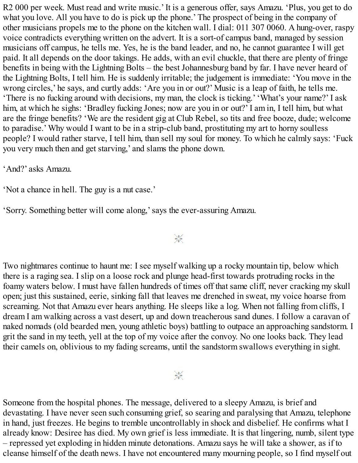R2 000 per week. Must read and write music.' It is a generous offer, says Amazu. 'Plus, you get to do what you love. All you have to do is pick up the phone.' The prospect of being in the company of other musicians propels me to the phone on the kitchen wall. I dial: 011 307 0060. A hung-over, raspy voice contradicts everything written on the advert. It is a sort-of campus band, managed by session musicians off campus, he tells me. Yes, he is the band leader, and no, he cannot guarantee I will get paid. It all depends on the door takings. He adds, with an evil chuckle, that there are plenty of fringe benefits in being with the Lightning Bolts – the best Johannesburg band by far. I have never heard of the Lightning Bolts, I tell him. He is suddenly irritable; the judgement is immediate: 'You move in the wrong circles,' he says, and curtly adds: 'Are you in or out?' Music is a leap of faith, he tells me. 'There is no fucking around with decisions, my man, the clock is ticking.' 'What's your name?' I ask him, at which he sighs: 'Bradley fucking Jones; now are you in or out?' I am in, I tell him, but what are the fringe benefits? 'We are the resident gig at Club Rebel, so tits and free booze, dude; welcome to paradise.' Why would I want to be in a strip-club band, prostituting my art to horny soulless people? I would rather starve, I tell him, than sell my soul for money. To which he calmly says: 'Fuck you very much then and get starving,' and slams the phone down.

'And?' asks Amazu.

'Not a chance in hell. The guy is a nut case.'

'Sorry. Something better will come along,'says the ever-assuring Amazu.

 $\frac{1}{2}$ 

Two nightmares continue to haunt me: I see myself walking up a rocky mountain tip, below which there is a raging sea. I slip on a loose rock and plunge head-first towards protruding rocks in the foamy waters below. I must have fallen hundreds of times off that same cliff, never cracking my skull open; just this sustained, eerie, sinking fall that leaves me drenched in sweat, my voice hoarse from screaming. Not that Amazu ever hears anything. He sleeps like a log. When not falling from cliffs, I dream I am walking across a vast desert, up and down treacherous sand dunes. I follow a caravan of naked nomads (old bearded men, young athletic boys) battling to outpace an approaching sandstorm. I grit the sand in my teeth, yell at the top of my voice after the convoy. No one looks back. They lead their camels on, oblivious to my fading screams, until the sandstorm swallows everything in sight.

 $\frac{1}{2}$ 

Someone from the hospital phones. The message, delivered to a sleepy Amazu, is brief and devastating. I have never seen such consuming grief, so searing and paralysing that Amazu, telephone in hand, just freezes. He begins to tremble uncontrollably in shock and disbelief. He confirms what I already know: Desiree has died. My own grief is less immediate. It is that lingering, numb, silent type – repressed yet exploding in hidden minute detonations. Amazu says he will take a shower, as if to cleanse himself of the death news. I have not encountered many mourning people, so I find myself out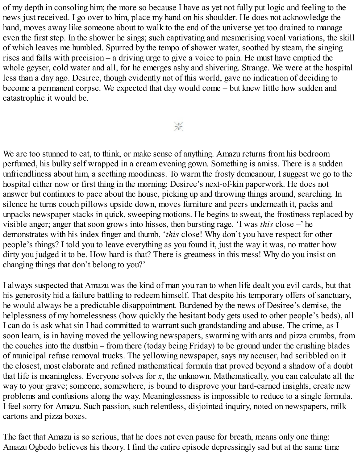of my depth in consoling him; the more so because I have as yet not fully put logic and feeling to the news just received. I go over to him, place my hand on his shoulder. He does not acknowledge the hand, moves away like someone about to walk to the end of the universe yet too drained to manage even the first step. In the shower he sings; such captivating and mesmerising vocal variations, the skill of which leaves me humbled. Spurred by the tempo of shower water, soothed by steam, the singing rises and falls with precision – a driving urge to give a voice to pain. He must have emptied the whole geyser, cold water and all, for he emerges ashy and shivering. Strange. We were at the hospital less than a day ago. Desiree, though evidently not of this world, gave no indication of deciding to become a permanent corpse. We expected that day would come – but knew little how sudden and catastrophic it would be.

 $\frac{1}{2}$ 

We are too stunned to eat, to think, or make sense of anything. Amazu returns from his bedroom perfumed, his bulky self wrapped in a cream evening gown. Something is amiss. There is a sudden unfriendliness about him, a seething moodiness. To warm the frosty demeanour, I suggest we go to the hospital either now or first thing in the morning; Desiree's next-of-kin paperwork. He does not answer but continues to pace about the house, picking up and throwing things around, searching. In silence he turns couch pillows upside down, moves furniture and peers underneath it, packs and unpacks newspaper stacks in quick, sweeping motions. He begins to sweat, the frostiness replaced by visible anger; anger that soon grows into hisses, then bursting rage. 'I was *this* close –' he demonstrates with his index finger and thumb, '*this* close! Why don't you have respect for other people's things? I told you to leave everything as you found it, just the way it was, no matter how dirty you judged it to be. How hard is that? There is greatness in this mess! Why do you insist on changing things that don't belong to you?'

I always suspected that Amazu was the kind of man you ran to when life dealt you evil cards, but that his generosity hid a failure battling to redeem himself. That despite his temporary offers of sanctuary, he would always be a predictable disappointment. Burdened by the news of Desiree's demise, the helplessness of my homelessness (how quickly the hesitant body gets used to other people's beds), all I can do is ask what sin I had committed to warrant such grandstanding and abuse. The crime, as I soon learn, is in having moved the yellowing newspapers, swarming with ants and pizza crumbs, from the couches into the dustbin – from there (today being Friday) to be ground under the crushing blades of municipal refuse removal trucks. The yellowing newspaper, says my accuser, had scribbled on it the closest, most elaborate and refined mathematical formula that proved beyond a shadow of a doubt that life is meaningless. Everyone solves for *x*, the unknown. Mathematically, you can calculate all the way to your grave; someone, somewhere, is bound to disprove your hard-earned insights, create new problems and confusions along the way. Meaninglessness is impossible to reduce to a single formula. I feel sorry for Amazu. Such passion, such relentless, disjointed inquiry, noted on newspapers, milk cartons and pizza boxes.

The fact that Amazu is so serious, that he does not even pause for breath, means only one thing: Amazu Ogbedo believes his theory. I find the entire episode depressingly sad but at the same time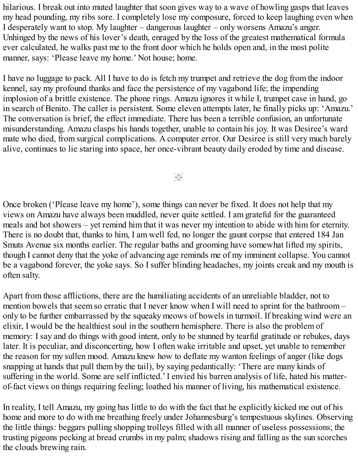hilarious. I break out into muted laughter that soon gives way to a wave of howling gasps that leaves my head pounding, my ribs sore. I completely lose my composure, forced to keep laughing even when I desperately want to stop. My laughter – dangerous laughter – only worsens Amazu's anger. Unhinged by the news of his lover's death, enraged by the loss of the greatest mathematical formula ever calculated, he walks past me to the front door which he holds open and, in the most polite manner, says: 'Please leave my home.' Not house; home.

I have no luggage to pack. All I have to do is fetch my trumpet and retrieve the dog from the indoor kennel, say my profound thanks and face the persistence of my vagabond life; the impending implosion of a brittle existence. The phone rings. Amazu ignores it while I, trumpet case in hand, go in search of Benito. The caller is persistent. Some eleven attempts later, he finally picks up: 'Amazu.' The conversation is brief, the effect immediate. There has been a terrible confusion, an unfortunate misunderstanding. Amazu clasps his hands together, unable to contain his joy. It was Desiree's ward mate who died, from surgical complications. A computer error. Our Desiree is still very much barely alive, continues to lie staring into space, her once-vibrant beauty daily eroded by time and disease.

豪

Once broken ('Please leave my home'), some things can never be fixed. It does not help that my views on Amazu have always been muddled, never quite settled. I am grateful for the guaranteed meals and hot showers – yet remind him that it was never my intention to abide with him for eternity. There is no doubt that, thanks to him, I am well fed, no longer the gaunt corpse that entered 184 Jan Smuts Avenue six months earlier. The regular baths and grooming have somewhat lifted my spirits, though I cannot deny that the yoke of advancing age reminds me of my imminent collapse. You cannot be a vagabond forever, the yoke says. So I suffer blinding headaches, my joints creak and my mouth is often salty.

Apart from those afflictions, there are the humiliating accidents of an unreliable bladder, not to mention bowels that seem so erratic that I never know when I will need to sprint for the bathroom – only to be further embarrassed by the squeaky meows of bowels in turmoil. If breaking wind were an elixir, I would be the healthiest soul in the southern hemisphere. There is also the problem of memory: I say and do things with good intent, only to be stunned by tearful gratitude or rebukes, days later. It is peculiar, and disconcerting, how I often wake irritable and upset, yet unable to remember the reason for my sullen mood. Amazu knew how to deflate my wanton feelings of anger (like dogs snapping at hands that pull them by the tail), by saying pedantically: 'There are many kinds of suffering in the world. Some are self inflicted.' I envied his barren analysis of life, hated his matterof-fact views on things requiring feeling; loathed his manner of living, his mathematical existence.

In reality, I tell Amazu, my going has little to do with the fact that he explicitly kicked me out of his home and more to do with me breathing freely under Johannesburg's tempestuous skylines. Observing the little things: beggars pulling shopping trolleys filled with all manner of useless possessions; the trusting pigeons pecking at bread crumbs in my palm; shadows rising and falling as the sun scorches the clouds brewing rain.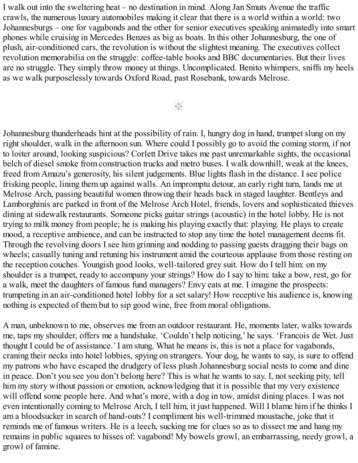I walk out into the sweltering heat – no destination in mind. Along Jan Smuts Avenue the traffic crawls, the numerous luxury automobiles making it clear that there is a world within a world: two Johannesburgs – one for vagabonds and the other for senior executives speaking animatedly into smart phones while cruising in Mercedes Benzes as big as boats. In this other Johannesburg, the one of plush, air-conditioned cars, the revolution is without the slightest meaning. The executives collect revolution memorabilia on the struggle: coffee-table books and BBC documentaries. But their lives are no struggle. They simply throw money at things. Uncomplicated. Benito whimpers, sniffs my heels as we walk purposelessly towards Oxford Road, past Rosebank, towards Melrose.

 $\frac{1}{2} \frac{V_{\rm c}}{V}$ 

Johannesburg thunderheads hint at the possibility of rain. I, hungry dog in hand, trumpet slung on my right shoulder, walk in the afternoon sun. Where could I possibly go to avoid the coming storm, if not to loiter around, looking suspicious? Corlett Drive takes me past unremarkable sights, the occasional belch of diesel smoke from construction trucks and metro buses. I walk downhill, weak at the knees, freed from Amazu's generosity, his silent judgements. Blue lights flash in the distance. I see police frisking people, lining them up against walls. An impromptu detour, an early right turn, lands me at Melrose Arch, passing beautiful women throwing their heads back in staged laughter. Bentleys and Lamborghinis are parked in front of the Melrose Arch Hotel, friends, lovers and sophisticated thieves dining at sidewalk restaurants. Someone picks guitar strings (acoustic) in the hotel lobby. He is not trying to milk money from people; he is making his playing exactly that: playing. He plays to create mood, a receptive ambience, and can be instructed to stop any time the hotel management deems fit. Through the revolving doors I see him grinning and nodding to passing guests dragging their bags on wheels; casually tuning and retuning his instrument amid the courteous applause from those resting on the reception couches. Youngish good looks, well-tailored grey suit. How do I tell him: on my shoulder is a trumpet, ready to accompany your strings? How do I say to him: take a bow, rest, go for a walk, meet the daughters of famous fund managers? Envy eats at me. I imagine the prospects: trumpeting in an air-conditioned hotel lobby for a set salary! How receptive his audience is, knowing nothing is expected of them but to sip good wine, free from moral obligations.

A man, unbeknown to me, observes me from an outdoor restaurant. He, moments later, walks towards me, taps my shoulder, offers me a handshake. 'Couldn't help noticing,' he says. 'Francois de Wet. Just thought I could be of assistance.' I am stung. What he means is, this is not a place for vagabonds, craning their necks into hotel lobbies, spying on strangers. Your dog, he wants to say, is sure to offend my patrons who have escaped the drudgery of less plush Johannesburg social nests to come and dine in peace. Don't you see you don't belong here? This is what he wants to say. I, not seeking pity, tell him my story without passion or emotion, acknowledging that it is possible that my very existence will offend some people here. And what's more, with a dog in tow, amidst dining places. I was not even intentionally coming to Melrose Arch, I tell him, it just happened. Will I blame him if he thinks I am a bloodsucker in search of hand-outs? I compliment his well-trimmed moustache, joke that it reminds me of famous writers. He is a leech, sucking me for clues so as to dissect me and hang my remains in public squares to hisses of: vagabond! My bowels growl, an embarrassing, needy growl, a growl of famine.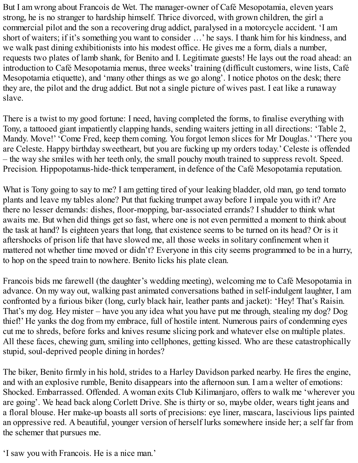But I am wrong about Francois de Wet. The manager-owner of Café Mesopotamia, eleven years strong, he is no stranger to hardship himself. Thrice divorced, with grown children, the girl a commercial pilot and the son a recovering drug addict, paralysed in a motorcycle accident. 'I am short of waiters; if it's something you want to consider …' he says. I thank him for his kindness, and we walk past dining exhibitionists into his modest office. He gives me a form, dials a number, requests two plates of lamb shank, for Benito and I. Legitimate guests! He lays out the road ahead: an introduction to Café Mesopotamia menus, three weeks' training (difficult customers, wine lists, Café Mesopotamia etiquette), and 'many other things as we go along'. I notice photos on the desk; there they are, the pilot and the drug addict. But not a single picture of wives past. I eat like a runaway slave.

There is a twist to my good fortune: I need, having completed the forms, to finalise everything with Tony, a tattooed giant impatiently clapping hands, sending waiters jetting in all directions: 'Table 2, Mandy. Move!' 'Come Fred, keep them coming. You forgot lemon slices for Mr Douglas.' 'There you are Celeste. Happy birthday sweetheart, but you are fucking up my orders today.' Celeste is offended – the way she smiles with her teeth only, the small pouchy mouth trained to suppress revolt. Speed. Precision. Hippopotamus-hide-thick temperament, in defence of the Café Mesopotamia reputation.

What is Tony going to say to me? I am getting tired of your leaking bladder, old man, go tend tomato plants and leave my tables alone? Put that fucking trumpet away before I impale you with it? Are there no lesser demands: dishes, floor-mopping, bar-associated errands? I shudder to think what awaits me. But when did things get so fast, where one is not even permitted a moment to think about the task at hand? Is eighteen years that long, that existence seems to be turned on its head? Or is it aftershocks of prison life that have slowed me, all those weeks in solitary confinement when it mattered not whether time moved or didn't? Everyone in this city seems programmed to be in a hurry, to hop on the speed train to nowhere. Benito licks his plate clean.

Francois bids me farewell (the daughter's wedding meeting), welcoming me to Café Mesopotamia in advance. On my way out, walking past animated conversations bathed in self-indulgent laughter, I am confronted by a furious biker (long, curly black hair, leather pants and jacket): 'Hey! That's Raisin. That's my dog. Hey mister – have you any idea what you have put me through, stealing my dog? Dog thief!' He yanks the dog from my embrace, full of hostile intent. Numerous pairs of condemning eyes cut me to shreds, before forks and knives resume slicing pork and whatever else on multiple plates. All these faces, chewing gum, smiling into cellphones, getting kissed. Who are these catastrophically stupid, soul-deprived people dining in hordes?

The biker, Benito firmly in his hold, strides to a Harley Davidson parked nearby. He fires the engine, and with an explosive rumble, Benito disappears into the afternoon sun. I am a welter of emotions: Shocked. Embarrassed. Offended. A woman exits Club Kilimanjaro, offers to walk me 'wherever you are going'. We head back along Corlett Drive. She is thirty or so, maybe older, wears tight jeans and a floral blouse. Her make-up boasts all sorts of precisions: eye liner, mascara, lascivious lips painted an oppressive red. A beautiful, younger version of herself lurks somewhere inside her; a self far from the schemer that pursues me.

'I saw you with Francois. He is a nice man.'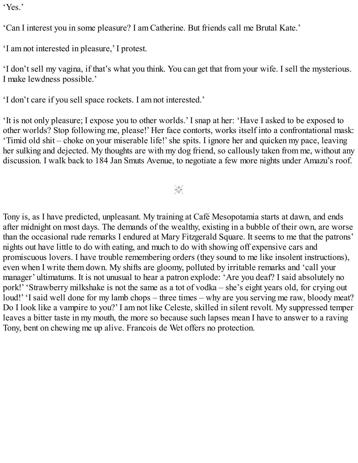'Yes.'

'Can I interest you in some pleasure? I am Catherine. But friends call me Brutal Kate.'

'I am not interested in pleasure,' I protest.

'I don't sell my vagina, if that's what you think. You can get that from your wife. I sell the mysterious. I make lewdness possible.'

'I don't care if you sell space rockets. I am not interested.'

'It is not only pleasure; I expose you to other worlds.' I snap at her: 'Have I asked to be exposed to other worlds? Stop following me, please!' Her face contorts, works itself into a confrontational mask: 'Timid old shit – choke on your miserable life!'she spits. I ignore her and quicken my pace, leaving her sulking and dejected. My thoughts are with my dog friend, so callously taken from me, without any discussion. I walk back to 184 Jan Smuts Avenue, to negotiate a few more nights under Amazu's roof.

#### $\frac{1}{2}$

Tony is, as I have predicted, unpleasant. My training at Café Mesopotamia starts at dawn, and ends after midnight on most days. The demands of the wealthy, existing in a bubble of their own, are worse than the occasional rude remarks I endured at Mary Fitzgerald Square. It seems to me that the patrons' nights out have little to do with eating, and much to do with showing off expensive cars and promiscuous lovers. I have trouble remembering orders (they sound to me like insolent instructions), even when I write them down. My shifts are gloomy, polluted by irritable remarks and 'call your manager' ultimatums. It is not unusual to hear a patron explode: 'Are you deaf? I said absolutely no pork!' 'Strawberry milkshake is not the same as a tot of vodka – she's eight years old, for crying out loud!' 'I said well done for my lamb chops – three times – why are you serving me raw, bloody meat? Do I look like a vampire to you?' I am not like Celeste, skilled in silent revolt. My suppressed temper leaves a bitter taste in my mouth, the more so because such lapses mean I have to answer to a raving Tony, bent on chewing me up alive. Francois de Wet offers no protection.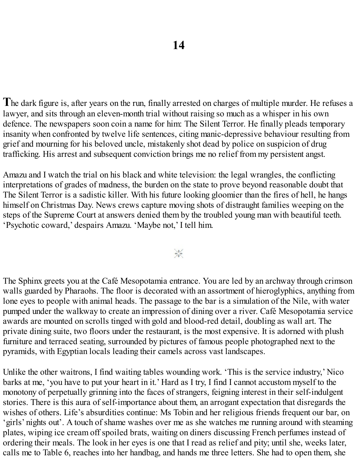**T**he dark figure is, after years on the run, finally arrested on charges of multiple murder. He refuses a lawyer, and sits through an eleven-month trial without raising so much as a whisper in his own defence. The newspapers soon coin a name for him: The Silent Terror. He finally pleads temporary insanity when confronted by twelve life sentences, citing manic-depressive behaviour resulting from grief and mourning for his beloved uncle, mistakenly shot dead by police on suspicion of drug trafficking. His arrest and subsequent conviction brings me no relief from my persistent angst.

Amazu and I watch the trial on his black and white television: the legal wrangles, the conflicting interpretations of grades of madness, the burden on the state to prove beyond reasonable doubt that The Silent Terror is a sadistic killer. With his future looking gloomier than the fires of hell, he hangs himself on Christmas Day. News crews capture moving shots of distraught families weeping on the steps of the Supreme Court at answers denied them by the troubled young man with beautiful teeth. 'Psychotic coward,' despairs Amazu. 'Maybe not,' I tell him.

 $\frac{1}{2}$ 

The Sphinx greets you at the Café Mesopotamia entrance. You are led by an archway through crimson walls guarded by Pharaohs. The floor is decorated with an assortment of hieroglyphics, anything from lone eyes to people with animal heads. The passage to the bar is a simulation of the Nile, with water pumped under the walkway to create an impression of dining over a river. Café Mesopotamia service awards are mounted on scrolls tinged with gold and blood-red detail, doubling as wall art. The private dining suite, two floors under the restaurant, is the most expensive. It is adorned with plush furniture and terraced seating, surrounded by pictures of famous people photographed next to the pyramids, with Egyptian locals leading their camels across vast landscapes.

Unlike the other waitrons, I find waiting tables wounding work. 'This is the service industry,' Nico barks at me, 'you have to put your heart in it.' Hard as I try, I find I cannot accustom myself to the monotony of perpetually grinning into the faces of strangers, feigning interest in their self-indulgent stories. There is this aura of self-importance about them, an arrogant expectation that disregards the wishes of others. Life's absurdities continue: Ms Tobin and her religious friends frequent our bar, on 'girls' nights out'. A touch of shame washes over me as she watches me running around with steaming plates, wiping ice cream off spoiled brats, waiting on diners discussing French perfumes instead of ordering their meals. The look in her eyes is one that I read as relief and pity; until she, weeks later, calls me to Table 6, reaches into her handbag, and hands me three letters. She had to open them, she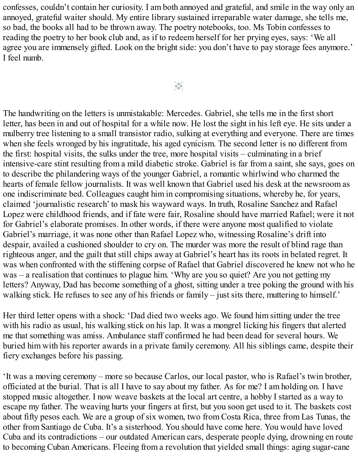confesses, couldn't contain her curiosity. I am both annoyed and grateful, and smile in the way only an annoyed, grateful waiter should. My entire library sustained irreparable water damage, she tells me, so bad, the books all had to be thrown away. The poetry notebooks, too. Ms Tobin confesses to reading the poetry to her book club and, as if to redeem herself for her prying eyes, says: 'We all agree you are immensely gifted. Look on the bright side: you don't have to pay storage fees anymore.' I feel numb.

The handwriting on the letters is unmistakable: Mercedes. Gabriel, she tells me in the first short letter, has been in and out of hospital for a while now. He lost the sight in his left eye. He sits under a mulberry tree listening to a small transistor radio, sulking at everything and everyone. There are times when she feels wronged by his ingratitude, his aged cynicism. The second letter is no different from the first: hospital visits, the sulks under the tree, more hospital visits – culminating in a brief intensive-care stint resulting from a mild diabetic stroke. Gabriel is far from a saint, she says, goes on to describe the philandering ways of the younger Gabriel, a romantic whirlwind who charmed the hearts of female fellow journalists. It was well known that Gabriel used his desk at the newsroom as one indiscriminate bed. Colleagues caught him in compromising situations, whereby he, for years, claimed 'journalistic research' to mask his wayward ways. In truth, Rosaline Sanchez and Rafael Lopez were childhood friends, and if fate were fair, Rosaline should have married Rafael; were it not for Gabriel's elaborate promises. In other words, if there were anyone most qualified to violate Gabriel's marriage, it was none other than Rafael Lopez who, witnessing Rosaline's drift into despair, availed a cushioned shoulder to cry on. The murder was more the result of blind rage than righteous anger, and the guilt that still chips away at Gabriel's heart has its roots in belated regret. It was when confronted with the stiffening corpse of Rafael that Gabriel discovered he knew not who he was – a realisation that continues to plague him. 'Why are you so quiet? Are you not getting my letters? Anyway, Dad has become something of a ghost, sitting under a tree poking the ground with his walking stick. He refuses to see any of his friends or family – just sits there, muttering to himself.'

Her third letter opens with a shock: 'Dad died two weeks ago. We found him sitting under the tree with his radio as usual, his walking stick on his lap. It was a mongrel licking his fingers that alerted me that something was amiss. Ambulance staff confirmed he had been dead for several hours. We buried him with his reporter awards in a private family ceremony. All his siblings came, despite their fiery exchanges before his passing.

'It was a moving ceremony – more so because Carlos, our local pastor, who is Rafael's twin brother, officiated at the burial. That is all I have to say about my father. As for me? I am holding on. I have stopped music altogether. I now weave baskets at the local art centre, a hobby I started as a way to escape my father. The weaving hurts your fingers at first, but you soon get used to it. The baskets cost about fifty pesos each. We are a group of six women, two from Costa Rica, three from Las Tunas, the other from Santiago de Cuba. It's a sisterhood. You should have come here. You would have loved Cuba and its contradictions – our outdated American cars, desperate people dying, drowning en route to becoming Cuban Americans. Fleeing from a revolution that yielded small things: aging sugar-cane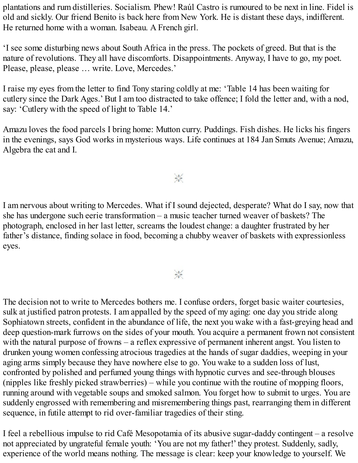plantations and rum distilleries. Socialism. Phew! Raúl Castro is rumoured to be next in line. Fidel is old and sickly. Our friend Benito is back here from New York. He is distant these days, indifferent. He returned home with a woman. Isabeau. A French girl.

'I see some disturbing news about South Africa in the press. The pockets of greed. But that is the nature of revolutions. They all have discomforts. Disappointments. Anyway, I have to go, my poet. Please, please, please … write. Love, Mercedes.'

I raise my eyes from the letter to find Tony staring coldly at me: 'Table 14 has been waiting for cutlery since the Dark Ages.' But I am too distracted to take offence; I fold the letter and, with a nod, say: 'Cutlery with the speed of light to Table 14.'

Amazu loves the food parcels I bring home: Mutton curry. Puddings. Fish dishes. He licks his fingers in the evenings, says God works in mysterious ways. Life continues at 184 Jan Smuts Avenue; Amazu, Algebra the cat and I.

 $\frac{1}{2}$ 

I am nervous about writing to Mercedes. What if I sound dejected, desperate? What do I say, now that she has undergone such eerie transformation – a music teacher turned weaver of baskets? The photograph, enclosed in her last letter, screams the loudest change: a daughter frustrated by her father's distance, finding solace in food, becoming a chubby weaver of baskets with expressionless eyes.

 $\frac{1}{2}$ 

The decision not to write to Mercedes bothers me. I confuse orders, forget basic waiter courtesies, sulk at justified patron protests. I am appalled by the speed of my aging: one day you stride along Sophiatown streets, confident in the abundance of life, the next you wake with a fast-greying head and deep question-mark furrows on the sides of your mouth. You acquire a permanent frown not consistent with the natural purpose of frowns – a reflex expressive of permanent inherent angst. You listen to drunken young women confessing atrocious tragedies at the hands of sugar daddies, weeping in your aging arms simply because they have nowhere else to go. You wake to a sudden loss of lust, confronted by polished and perfumed young things with hypnotic curves and see-through blouses (nipples like freshly picked strawberries) – while you continue with the routine of mopping floors, running around with vegetable soups and smoked salmon. You forget how to submit to urges. You are suddenly engrossed with remembering and misremembering things past, rearranging them in different sequence, in futile attempt to rid over-familiar tragedies of their sting.

I feel a rebellious impulse to rid Café Mesopotamia of its abusive sugar-daddy contingent – a resolve not appreciated by ungrateful female youth: 'You are not my father!' they protest. Suddenly, sadly, experience of the world means nothing. The message is clear: keep your knowledge to yourself. We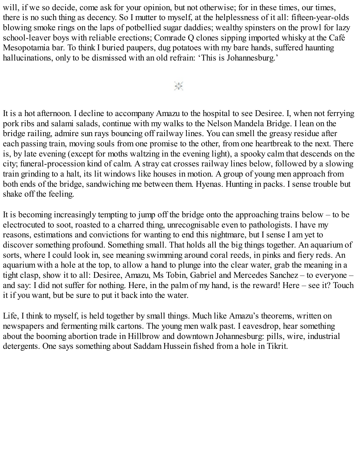will, if we so decide, come ask for your opinion, but not otherwise; for in these times, our times, there is no such thing as decency. So I mutter to myself, at the helplessness of it all: fifteen-year-olds blowing smoke rings on the laps of potbellied sugar daddies; wealthy spinsters on the prowl for lazy school-leaver boys with reliable erections; Comrade Q clones sipping imported whisky at the Café Mesopotamia bar. To think I buried paupers, dug potatoes with my bare hands, suffered haunting hallucinations, only to be dismissed with an old refrain: 'This is Johannesburg.'

 $\frac{1}{2}$ 

It is a hot afternoon. I decline to accompany Amazu to the hospital to see Desiree. I, when not ferrying pork ribs and salami salads, continue with my walks to the Nelson Mandela Bridge. I lean on the bridge railing, admire sun rays bouncing off railway lines. You can smell the greasy residue after each passing train, moving souls from one promise to the other, from one heartbreak to the next. There is, by late evening (except for moths waltzing in the evening light), a spooky calm that descends on the city; funeral-procession kind of calm. A stray cat crosses railway lines below, followed by a slowing train grinding to a halt, its lit windows like houses in motion. A group of young men approach from both ends of the bridge, sandwiching me between them. Hyenas. Hunting in packs. I sense trouble but shake off the feeling.

It is becoming increasingly tempting to jump off the bridge onto the approaching trains below – to be electrocuted to soot, roasted to a charred thing, unrecognisable even to pathologists. I have my reasons, estimations and convictions for wanting to end this nightmare, but I sense I am yet to discover something profound. Something small. That holds all the big things together. An aquarium of sorts, where I could look in, see meaning swimming around coral reeds, in pinks and fiery reds. An aquarium with a hole at the top, to allow a hand to plunge into the clear water, grab the meaning in a tight clasp, show it to all: Desiree, Amazu, Ms Tobin, Gabriel and Mercedes Sanchez – to everyone – and say: I did not suffer for nothing. Here, in the palm of my hand, is the reward! Here – see it? Touch it if you want, but be sure to put it back into the water.

Life, I think to myself, is held together by small things. Much like Amazu's theorems, written on newspapers and fermenting milk cartons. The young men walk past. I eavesdrop, hear something about the booming abortion trade in Hillbrow and downtown Johannesburg: pills, wire, industrial detergents. One says something about Saddam Hussein fished from a hole in Tikrit.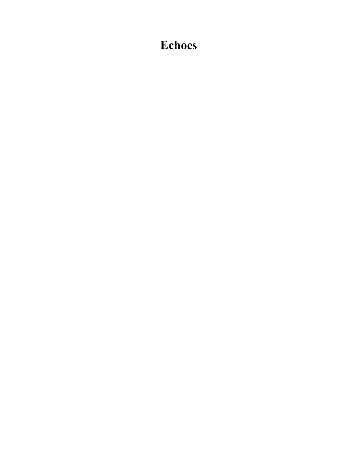## **Echoes**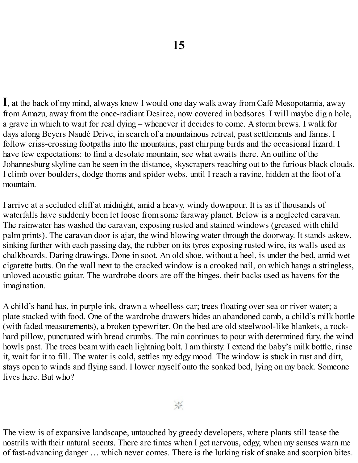**I**, at the back of my mind, always knew I would one day walk away from Café Mesopotamia, away from Amazu, away from the once-radiant Desiree, now covered in bedsores. I will maybe dig a hole, a grave in which to wait for real dying – whenever it decides to come. A storm brews. I walk for days along Beyers Naudé Drive, in search of a mountainous retreat, past settlements and farms. I follow criss-crossing footpaths into the mountains, past chirping birds and the occasional lizard. I have few expectations: to find a desolate mountain, see what awaits there. An outline of the Johannesburg skyline can be seen in the distance, skyscrapers reaching out to the furious black clouds. I climb over boulders, dodge thorns and spider webs, until I reach a ravine, hidden at the foot of a mountain.

I arrive at a secluded cliff at midnight, amid a heavy, windy downpour. It is as if thousands of waterfalls have suddenly been let loose from some faraway planet. Below is a neglected caravan. The rainwater has washed the caravan, exposing rusted and stained windows (greased with child palm prints). The caravan door is ajar, the wind blowing water through the doorway. It stands askew, sinking further with each passing day, the rubber on its tyres exposing rusted wire, its walls used as chalkboards. Daring drawings. Done in soot. An old shoe, without a heel, is under the bed, amid wet cigarette butts. On the wall next to the cracked window is a crooked nail, on which hangs a stringless, unloved acoustic guitar. The wardrobe doors are off the hinges, their backs used as havens for the imagination.

A child's hand has, in purple ink, drawn a wheelless car; trees floating over sea or river water; a plate stacked with food. One of the wardrobe drawers hides an abandoned comb, a child's milk bottle (with faded measurements), a broken typewriter. On the bed are old steelwool-like blankets, a rockhard pillow, punctuated with bread crumbs. The rain continues to pour with determined fury, the wind howls past. The trees beam with each lightning bolt. I am thirsty. I extend the baby's milk bottle, rinse it, wait for it to fill. The water is cold, settles my edgy mood. The window is stuck in rust and dirt, stays open to winds and flying sand. I lower myself onto the soaked bed, lying on my back. Someone lives here. But who?

The view is of expansive landscape, untouched by greedy developers, where plants still tease the nostrils with their natural scents. There are times when I get nervous, edgy, when my senses warn me of fast-advancing danger … which never comes. There is the lurking risk of snake and scorpion bites.